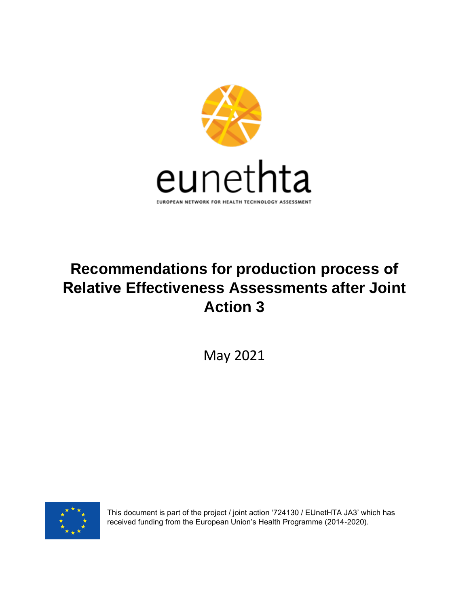

# **Recommendations for production process of Relative Effectiveness Assessments after Joint Action 3**

May 2021



This document is part of the project / joint action '724130 / EUnetHTA JA3' which has received funding from the European Union's Health Programme (2014-2020).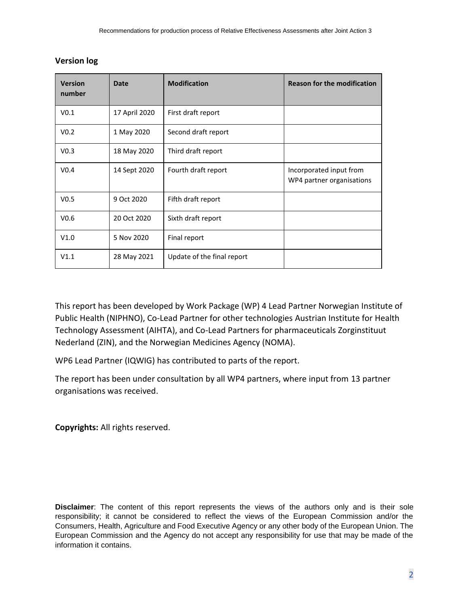| <b>Version</b><br>number | <b>Date</b>   | <b>Modification</b>        | <b>Reason for the modification</b>                   |
|--------------------------|---------------|----------------------------|------------------------------------------------------|
| V <sub>0.1</sub>         | 17 April 2020 | First draft report         |                                                      |
| V <sub>0.2</sub>         | 1 May 2020    | Second draft report        |                                                      |
| V <sub>0.3</sub>         | 18 May 2020   | Third draft report         |                                                      |
| V <sub>0.4</sub>         | 14 Sept 2020  | Fourth draft report        | Incorporated input from<br>WP4 partner organisations |
| V <sub>0.5</sub>         | 9 Oct 2020    | Fifth draft report         |                                                      |
| V <sub>0.6</sub>         | 20 Oct 2020   | Sixth draft report         |                                                      |
| V1.0                     | 5 Nov 2020    | Final report               |                                                      |
| V1.1                     | 28 May 2021   | Update of the final report |                                                      |

#### **Version log**

This report has been developed by Work Package (WP) 4 Lead Partner Norwegian Institute of Public Health (NIPHNO), Co-Lead Partner for other technologies Austrian Institute for Health Technology Assessment (AIHTA), and Co-Lead Partners for pharmaceuticals Zorginstituut Nederland (ZIN), and the Norwegian Medicines Agency (NOMA).

WP6 Lead Partner (IQWIG) has contributed to parts of the report.

The report has been under consultation by all WP4 partners, where input from 13 partner organisations was received.

**Copyrights:** All rights reserved.

**Disclaimer**: The content of this report represents the views of the authors only and is their sole responsibility; it cannot be considered to reflect the views of the European Commission and/or the Consumers, Health, Agriculture and Food Executive Agency or any other body of the European Union. The European Commission and the Agency do not accept any responsibility for use that may be made of the information it contains.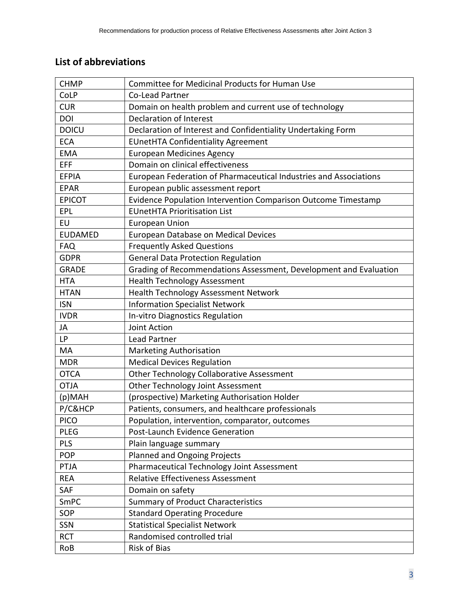## <span id="page-2-0"></span>**List of abbreviations**

| <b>CHMP</b>    | <b>Committee for Medicinal Products for Human Use</b>             |
|----------------|-------------------------------------------------------------------|
| CoLP           | Co-Lead Partner                                                   |
| <b>CUR</b>     | Domain on health problem and current use of technology            |
| DOI            | <b>Declaration of Interest</b>                                    |
| <b>DOICU</b>   | Declaration of Interest and Confidentiality Undertaking Form      |
| <b>ECA</b>     | <b>EUnetHTA Confidentiality Agreement</b>                         |
| <b>EMA</b>     | <b>European Medicines Agency</b>                                  |
| EFF            | Domain on clinical effectiveness                                  |
| <b>EFPIA</b>   | European Federation of Pharmaceutical Industries and Associations |
| <b>EPAR</b>    | European public assessment report                                 |
| <b>EPICOT</b>  | Evidence Population Intervention Comparison Outcome Timestamp     |
| EPL            | <b>EUnetHTA Prioritisation List</b>                               |
| EU             | <b>European Union</b>                                             |
| <b>EUDAMED</b> | European Database on Medical Devices                              |
| <b>FAQ</b>     | <b>Frequently Asked Questions</b>                                 |
| <b>GDPR</b>    | <b>General Data Protection Regulation</b>                         |
| <b>GRADE</b>   | Grading of Recommendations Assessment, Development and Evaluation |
| <b>HTA</b>     | <b>Health Technology Assessment</b>                               |
| <b>HTAN</b>    | Health Technology Assessment Network                              |
| <b>ISN</b>     | <b>Information Specialist Network</b>                             |
| <b>IVDR</b>    | <b>In-vitro Diagnostics Regulation</b>                            |
| JA             | Joint Action                                                      |
| <b>LP</b>      | <b>Lead Partner</b>                                               |
| MA             | <b>Marketing Authorisation</b>                                    |
| <b>MDR</b>     | <b>Medical Devices Regulation</b>                                 |
| <b>OTCA</b>    | Other Technology Collaborative Assessment                         |
| <b>OTJA</b>    | Other Technology Joint Assessment                                 |
| (p)MAH         | (prospective) Marketing Authorisation Holder                      |
| P/C&HCP        | Patients, consumers, and healthcare professionals                 |
| <b>PICO</b>    | Population, intervention, comparator, outcomes                    |
| <b>PLEG</b>    | Post-Launch Evidence Generation                                   |
| <b>PLS</b>     | Plain language summary                                            |
| POP            | <b>Planned and Ongoing Projects</b>                               |
| PTJA           | Pharmaceutical Technology Joint Assessment                        |
| <b>REA</b>     | <b>Relative Effectiveness Assessment</b>                          |
| SAF            | Domain on safety                                                  |
| SmPC           | <b>Summary of Product Characteristics</b>                         |
| SOP            | <b>Standard Operating Procedure</b>                               |
| SSN            | <b>Statistical Specialist Network</b>                             |
| <b>RCT</b>     | Randomised controlled trial                                       |
| RoB            | Risk of Bias                                                      |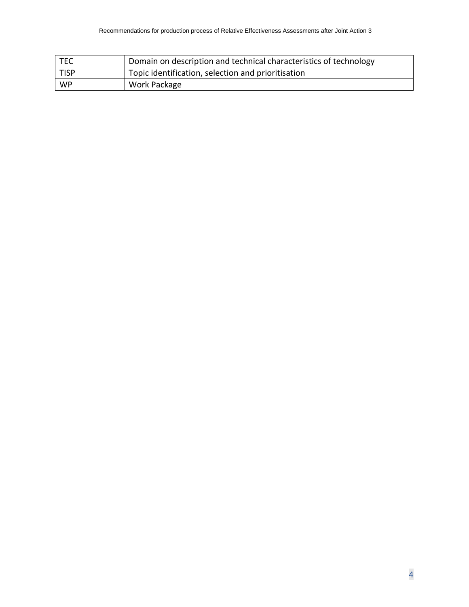| TEC  | Domain on description and technical characteristics of technology |
|------|-------------------------------------------------------------------|
| TISP | Topic identification, selection and prioritisation                |
| WP   | Work Package                                                      |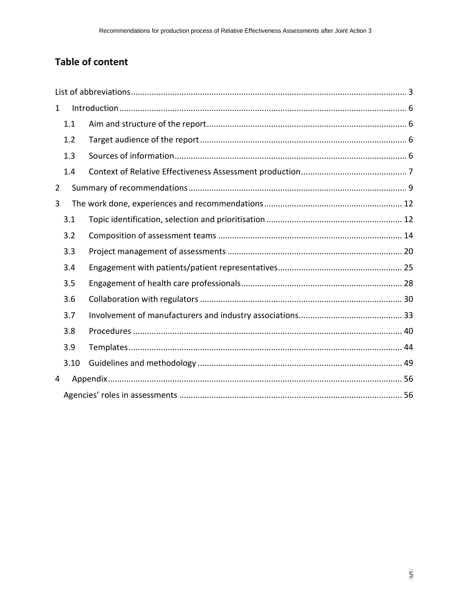## **Table of content**

| $\mathbf{1}$ |      |  |  |
|--------------|------|--|--|
|              | 1.1  |  |  |
|              | 1.2  |  |  |
|              | 1.3  |  |  |
|              | 1.4  |  |  |
| 2            |      |  |  |
| 3            |      |  |  |
|              | 3.1  |  |  |
|              | 3.2  |  |  |
|              | 3.3  |  |  |
|              | 3.4  |  |  |
|              | 3.5  |  |  |
|              | 3.6  |  |  |
|              | 3.7  |  |  |
|              | 3.8  |  |  |
|              | 3.9  |  |  |
|              | 3.10 |  |  |
| 4            |      |  |  |
|              |      |  |  |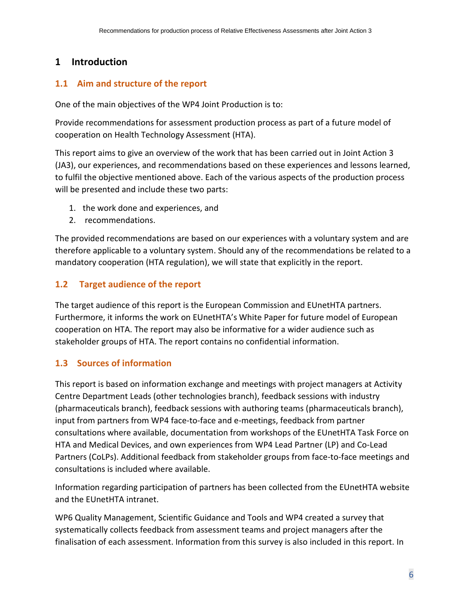## <span id="page-5-0"></span>**1 Introduction**

## <span id="page-5-1"></span>**1.1 Aim and structure of the report**

One of the main objectives of the WP4 Joint Production is to:

Provide recommendations for assessment production process as part of a future model of cooperation on Health Technology Assessment (HTA).

This report aims to give an overview of the work that has been carried out in Joint Action 3 (JA3), our experiences, and recommendations based on these experiences and lessons learned, to fulfil the objective mentioned above. Each of the various aspects of the production process will be presented and include these two parts:

- 1. the work done and experiences, and
- 2. recommendations.

The provided recommendations are based on our experiences with a voluntary system and are therefore applicable to a voluntary system. Should any of the recommendations be related to a mandatory cooperation (HTA regulation), we will state that explicitly in the report.

## <span id="page-5-2"></span>**1.2 Target audience of the report**

The target audience of this report is the European Commission and EUnetHTA partners. Furthermore, it informs the work on EUnetHTA's White Paper for future model of European cooperation on HTA. The report may also be informative for a wider audience such as stakeholder groups of HTA. The report contains no confidential information.

## <span id="page-5-3"></span>**1.3 Sources of information**

This report is based on information exchange and meetings with project managers at Activity Centre Department Leads (other technologies branch), feedback sessions with industry (pharmaceuticals branch), feedback sessions with authoring teams (pharmaceuticals branch), input from partners from WP4 face-to-face and e-meetings, feedback from partner consultations where available, documentation from workshops of the EUnetHTA Task Force on HTA and Medical Devices, and own experiences from WP4 Lead Partner (LP) and Co-Lead Partners (CoLPs). Additional feedback from stakeholder groups from face-to-face meetings and consultations is included where available.

Information regarding participation of partners has been collected from the EUnetHTA website and the EUnetHTA intranet.

WP6 Quality Management, Scientific Guidance and Tools and WP4 created a survey that systematically collects feedback from assessment teams and project managers after the finalisation of each assessment. Information from this survey is also included in this report. In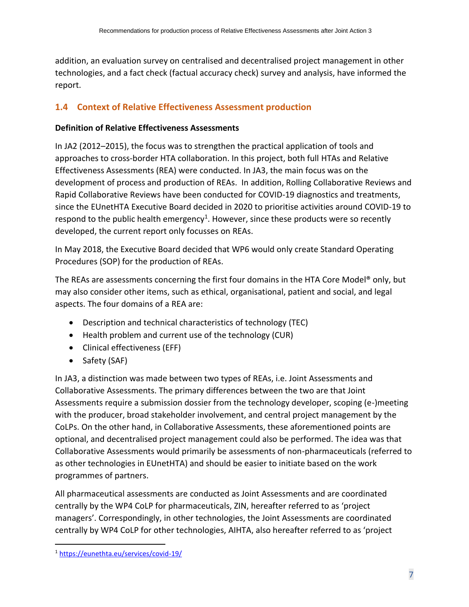addition, an evaluation survey on centralised and decentralised project management in other technologies, and a fact check (factual accuracy check) survey and analysis, have informed the report.

## <span id="page-6-0"></span>**1.4 Context of Relative Effectiveness Assessment production**

## **Definition of Relative Effectiveness Assessments**

In JA2 (2012–2015), the focus was to strengthen the practical application of tools and approaches to cross-border HTA collaboration. In this project, both full HTAs and Relative Effectiveness Assessments (REA) were conducted. In JA3, the main focus was on the development of process and production of REAs. In addition, Rolling Collaborative Reviews and Rapid Collaborative Reviews have been conducted for COVID-19 diagnostics and treatments, since the EUnetHTA Executive Board decided in 2020 to prioritise activities around COVID-19 to respond to the public health emergency<sup>1</sup>. However, since these products were so recently developed, the current report only focusses on REAs.

In May 2018, the Executive Board decided that WP6 would only create Standard Operating Procedures (SOP) for the production of REAs.

The REAs are assessments concerning the first four domains in the HTA Core Model® only, but may also consider other items, such as ethical, organisational, patient and social, and legal aspects. The four domains of a REA are:

- Description and technical characteristics of technology (TEC)
- Health problem and current use of the technology (CUR)
- Clinical effectiveness (EFF)
- Safety (SAF)

In JA3, a distinction was made between two types of REAs, i.e. Joint Assessments and Collaborative Assessments. The primary differences between the two are that Joint Assessments require a submission dossier from the technology developer, scoping (e-)meeting with the producer, broad stakeholder involvement, and central project management by the CoLPs. On the other hand, in Collaborative Assessments, these aforementioned points are optional, and decentralised project management could also be performed. The idea was that Collaborative Assessments would primarily be assessments of non-pharmaceuticals (referred to as other technologies in EUnetHTA) and should be easier to initiate based on the work programmes of partners.

All pharmaceutical assessments are conducted as Joint Assessments and are coordinated centrally by the WP4 CoLP for pharmaceuticals, ZIN, hereafter referred to as 'project managers'. Correspondingly, in other technologies, the Joint Assessments are coordinated centrally by WP4 CoLP for other technologies, AIHTA, also hereafter referred to as 'project

<sup>1</sup> <https://eunethta.eu/services/covid-19/>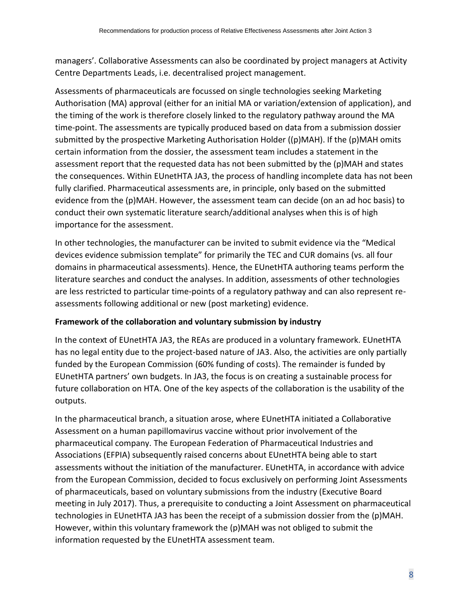managers'. Collaborative Assessments can also be coordinated by project managers at Activity Centre Departments Leads, i.e. decentralised project management.

Assessments of pharmaceuticals are focussed on single technologies seeking Marketing Authorisation (MA) approval (either for an initial MA or variation/extension of application), and the timing of the work is therefore closely linked to the regulatory pathway around the MA time-point. The assessments are typically produced based on data from a submission dossier submitted by the prospective Marketing Authorisation Holder ((p)MAH). If the (p)MAH omits certain information from the dossier, the assessment team includes a statement in the assessment report that the requested data has not been submitted by the (p)MAH and states the consequences. Within EUnetHTA JA3, the process of handling incomplete data has not been fully clarified. Pharmaceutical assessments are, in principle, only based on the submitted evidence from the (p)MAH. However, the assessment team can decide (on an ad hoc basis) to conduct their own systematic literature search/additional analyses when this is of high importance for the assessment.

In other technologies, the manufacturer can be invited to submit evidence via the "Medical devices evidence submission template" for primarily the TEC and CUR domains (vs. all four domains in pharmaceutical assessments). Hence, the EUnetHTA authoring teams perform the literature searches and conduct the analyses. In addition, assessments of other technologies are less restricted to particular time-points of a regulatory pathway and can also represent reassessments following additional or new (post marketing) evidence.

## **Framework of the collaboration and voluntary submission by industry**

In the context of EUnetHTA JA3, the REAs are produced in a voluntary framework. EUnetHTA has no legal entity due to the project-based nature of JA3. Also, the activities are only partially funded by the European Commission (60% funding of costs). The remainder is funded by EUnetHTA partners' own budgets. In JA3, the focus is on creating a sustainable process for future collaboration on HTA. One of the key aspects of the collaboration is the usability of the outputs.

In the pharmaceutical branch, a situation arose, where EUnetHTA initiated a Collaborative Assessment on a human papillomavirus vaccine without prior involvement of the pharmaceutical company. The European Federation of Pharmaceutical Industries and Associations (EFPIA) subsequently raised concerns about EUnetHTA being able to start assessments without the initiation of the manufacturer. EUnetHTA, in accordance with advice from the European Commission, decided to focus exclusively on performing Joint Assessments of pharmaceuticals, based on voluntary submissions from the industry (Executive Board meeting in July 2017). Thus, a prerequisite to conducting a Joint Assessment on pharmaceutical technologies in EUnetHTA JA3 has been the receipt of a submission dossier from the (p)MAH. However, within this voluntary framework the (p)MAH was not obliged to submit the information requested by the EUnetHTA assessment team.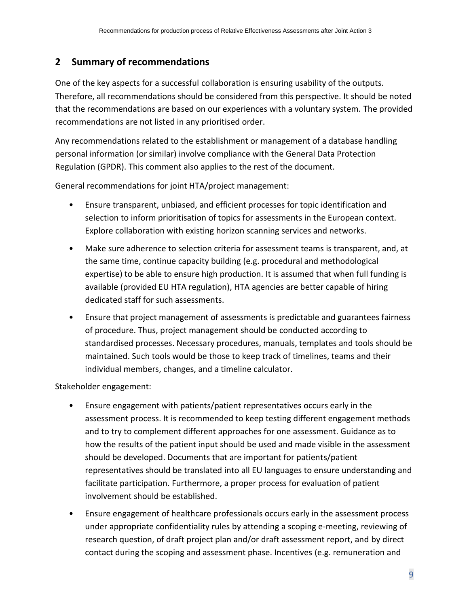## <span id="page-8-0"></span>**2 Summary of recommendations**

One of the key aspects for a successful collaboration is ensuring usability of the outputs. Therefore, all recommendations should be considered from this perspective. It should be noted that the recommendations are based on our experiences with a voluntary system. The provided recommendations are not listed in any prioritised order.

Any recommendations related to the establishment or management of a database handling personal information (or similar) involve compliance with the General Data Protection Regulation (GPDR). This comment also applies to the rest of the document.

General recommendations for joint HTA/project management:

- Ensure transparent, unbiased, and efficient processes for topic identification and selection to inform prioritisation of topics for assessments in the European context. Explore collaboration with existing horizon scanning services and networks.
- Make sure adherence to selection criteria for assessment teams is transparent, and, at the same time, continue capacity building (e.g. procedural and methodological expertise) to be able to ensure high production. It is assumed that when full funding is available (provided EU HTA regulation), HTA agencies are better capable of hiring dedicated staff for such assessments.
- Ensure that project management of assessments is predictable and guarantees fairness of procedure. Thus, project management should be conducted according to standardised processes. Necessary procedures, manuals, templates and tools should be maintained. Such tools would be those to keep track of timelines, teams and their individual members, changes, and a timeline calculator.

Stakeholder engagement:

- Ensure engagement with patients/patient representatives occurs early in the assessment process. It is recommended to keep testing different engagement methods and to try to complement different approaches for one assessment. Guidance as to how the results of the patient input should be used and made visible in the assessment should be developed. Documents that are important for patients/patient representatives should be translated into all EU languages to ensure understanding and facilitate participation. Furthermore, a proper process for evaluation of patient involvement should be established.
- Ensure engagement of healthcare professionals occurs early in the assessment process under appropriate confidentiality rules by attending a scoping e-meeting, reviewing of research question, of draft project plan and/or draft assessment report, and by direct contact during the scoping and assessment phase. Incentives (e.g. remuneration and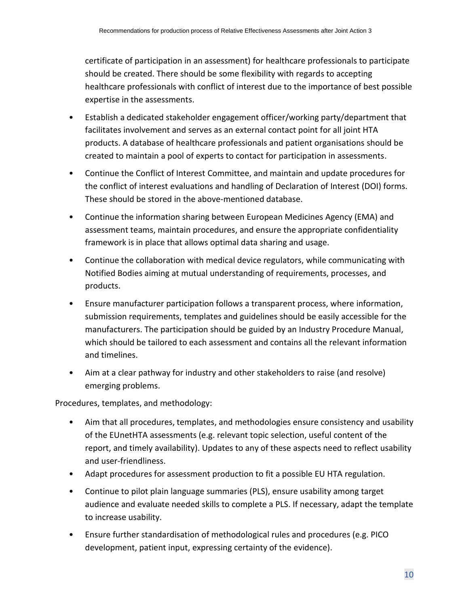certificate of participation in an assessment) for healthcare professionals to participate should be created. There should be some flexibility with regards to accepting healthcare professionals with conflict of interest due to the importance of best possible expertise in the assessments.

- Establish a dedicated stakeholder engagement officer/working party/department that facilitates involvement and serves as an external contact point for all joint HTA products. A database of healthcare professionals and patient organisations should be created to maintain a pool of experts to contact for participation in assessments.
- Continue the Conflict of Interest Committee, and maintain and update procedures for the conflict of interest evaluations and handling of Declaration of Interest (DOI) forms. These should be stored in the above-mentioned database.
- Continue the information sharing between European Medicines Agency (EMA) and assessment teams, maintain procedures, and ensure the appropriate confidentiality framework is in place that allows optimal data sharing and usage.
- Continue the collaboration with medical device regulators, while communicating with Notified Bodies aiming at mutual understanding of requirements, processes, and products.
- Ensure manufacturer participation follows a transparent process, where information, submission requirements, templates and guidelines should be easily accessible for the manufacturers. The participation should be guided by an Industry Procedure Manual, which should be tailored to each assessment and contains all the relevant information and timelines.
- Aim at a clear pathway for industry and other stakeholders to raise (and resolve) emerging problems.

Procedures, templates, and methodology:

- Aim that all procedures, templates, and methodologies ensure consistency and usability of the EUnetHTA assessments (e.g. relevant topic selection, useful content of the report, and timely availability). Updates to any of these aspects need to reflect usability and user-friendliness.
- Adapt procedures for assessment production to fit a possible EU HTA regulation.
- Continue to pilot plain language summaries (PLS), ensure usability among target audience and evaluate needed skills to complete a PLS. If necessary, adapt the template to increase usability.
- Ensure further standardisation of methodological rules and procedures (e.g. PICO development, patient input, expressing certainty of the evidence).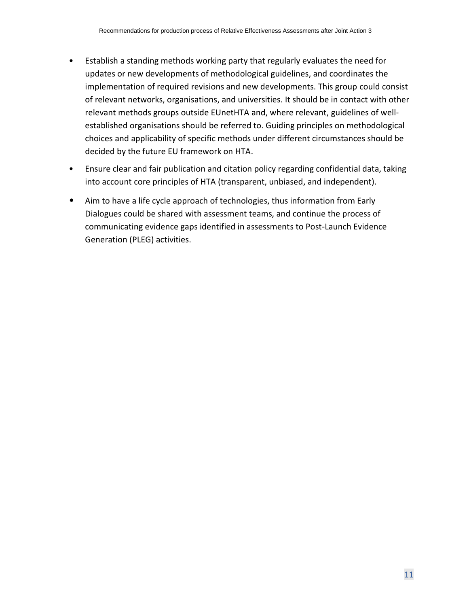- Establish a standing methods working party that regularly evaluates the need for updates or new developments of methodological guidelines, and coordinates the implementation of required revisions and new developments. This group could consist of relevant networks, organisations, and universities. It should be in contact with other relevant methods groups outside EUnetHTA and, where relevant, guidelines of wellestablished organisations should be referred to. Guiding principles on methodological choices and applicability of specific methods under different circumstances should be decided by the future EU framework on HTA.
- Ensure clear and fair publication and citation policy regarding confidential data, taking into account core principles of HTA (transparent, unbiased, and independent).
- Aim to have a life cycle approach of technologies, thus information from Early Dialogues could be shared with assessment teams, and continue the process of communicating evidence gaps identified in assessments to Post-Launch Evidence Generation (PLEG) activities.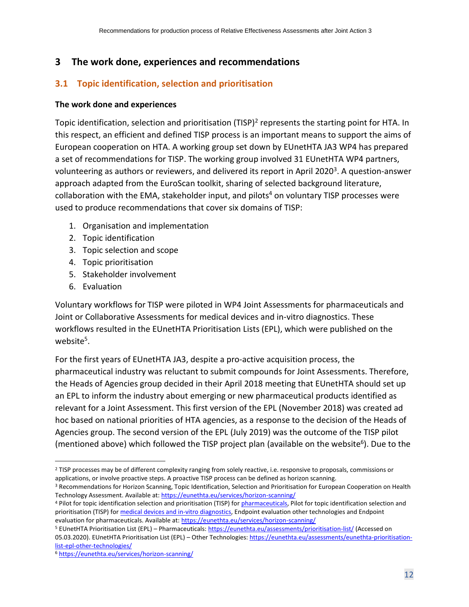## <span id="page-11-0"></span>**3 The work done, experiences and recommendations**

## <span id="page-11-1"></span>**3.1 Topic identification, selection and prioritisation**

#### **The work done and experiences**

Topic identification, selection and prioritisation (TISP)<sup>2</sup> represents the starting point for HTA. In this respect, an efficient and defined TISP process is an important means to support the aims of European cooperation on HTA. A working group set down by EUnetHTA JA3 WP4 has prepared a set of recommendations for TISP. The working group involved 31 EUnetHTA WP4 partners, volunteering as authors or reviewers, and delivered its report in April 2020<sup>3</sup>. A question-answer approach adapted from the EuroScan toolkit, sharing of selected background literature, collaboration with the EMA, stakeholder input, and pilots<sup>4</sup> on voluntary TISP processes were used to produce recommendations that cover six domains of TISP:

- <span id="page-11-2"></span>1. Organisation and implementation
- 2. Topic identification
- 3. Topic selection and scope
- 4. Topic prioritisation
- 5. Stakeholder involvement
- 6. Evaluation

Voluntary workflows for TISP were piloted in WP4 Joint Assessments for pharmaceuticals and Joint or Collaborative Assessments for medical devices and in-vitro diagnostics. These workflows resulted in the EUnetHTA Prioritisation Lists (EPL), which were published on the website<sup>5</sup>.

For the first years of EUnetHTA JA3, despite a pro-active acquisition process, the pharmaceutical industry was reluctant to submit compounds for Joint Assessments. Therefore, the Heads of Agencies group decided in their April 2018 meeting that EUnetHTA should set up an EPL to inform the industry about emerging or new pharmaceutical products identified as relevant for a Joint Assessment. This first version of the EPL (November 2018) was created ad hoc based on national priorities of HTA agencies, as a response to the decision of the Heads of Agencies group. The second version of the EPL (July 2019) was the outcome of the TISP pilot (mentioned above) which followed the TISP project plan (available on the website<sup>6</sup>). Due to the

<sup>&</sup>lt;sup>2</sup> TISP processes may be of different complexity ranging from solely reactive, i.e. responsive to proposals, commissions or applications, or involve proactive steps. A proactive TISP process can be defined as horizon scanning.

<sup>3</sup> Recommendations for Horizon Scanning, Topic Identification, Selection and Prioritisation for European Cooperation on Health Technology Assessment. Available at[: https://eunethta.eu/services/horizon-scanning/](https://eunethta.eu/services/horizon-scanning/)

<sup>4</sup> Pilot for topic identification selection and prioritisation (TISP) for [pharmaceuticals,](https://eunethta.eu/wp-content/uploads/2019/03/190301-Project-plan-TISP-P-Final.pdf) Pilot for topic identification selection and prioritisation (TISP) fo[r medical devices and in-vitro diagnostics,](https://eunethta.eu/wp-content/uploads/2019/03/190301-Project-plan-TISP-OT-Final.pdf) Endpoint evaluation other technologies and Endpoint evaluation for pharmaceuticals. Available at:<https://eunethta.eu/services/horizon-scanning/>

<sup>5</sup> EUnetHTA Prioritisation List (EPL) – Pharmaceuticals:<https://eunethta.eu/assessments/prioritisation-list/> (Accessed on 05.03.2020). EUnetHTA Prioritisation List (EPL) - Other Technologies: [https://eunethta.eu/assessments/eunethta-prioritisation](https://eunethta.eu/assessments/eunethta-prioritisation-list-epl-other-technologies/)[list-epl-other-technologies/](https://eunethta.eu/assessments/eunethta-prioritisation-list-epl-other-technologies/)

<sup>6</sup> <https://eunethta.eu/services/horizon-scanning/>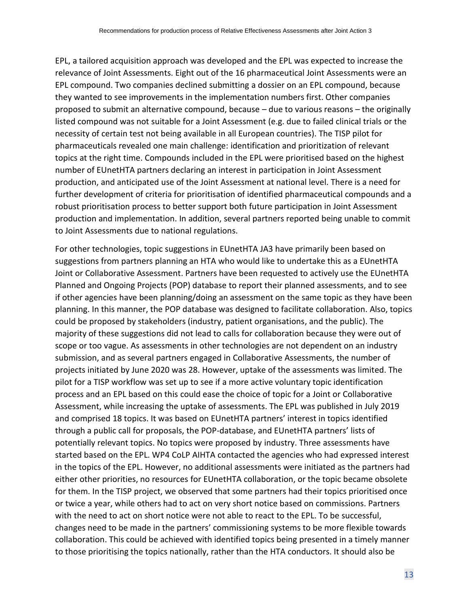EPL, a tailored acquisition approach was developed and the EPL was expected to increase the relevance of Joint Assessments. Eight out of the 16 pharmaceutical Joint Assessments were an EPL compound. Two companies declined submitting a dossier on an EPL compound, because they wanted to see improvements in the implementation numbers first. Other companies proposed to submit an alternative compound, because – due to various reasons – the originally listed compound was not suitable for a Joint Assessment (e.g. due to failed clinical trials or the necessity of certain test not being available in all European countries). The TISP pilot for pharmaceuticals revealed one main challenge: identification and prioritization of relevant topics at the right time. Compounds included in the EPL were prioritised based on the highest number of EUnetHTA partners declaring an interest in participation in Joint Assessment production, and anticipated use of the Joint Assessment at national level. There is a need for further development of criteria for prioritisation of identified pharmaceutical compounds and a robust prioritisation process to better support both future participation in Joint Assessment production and implementation. In addition, several partners reported being unable to commit to Joint Assessments due to national regulations.

For other technologies, topic suggestions in EUnetHTA JA3 have primarily been based on suggestions from partners planning an HTA who would like to undertake this as a EUnetHTA Joint or Collaborative Assessment. Partners have been requested to actively use the EUnetHTA Planned and Ongoing Projects (POP) database to report their planned assessments, and to see if other agencies have been planning/doing an assessment on the same topic as they have been planning. In this manner, the POP database was designed to facilitate collaboration. Also, topics could be proposed by stakeholders (industry, patient organisations, and the public). The majority of these suggestions did not lead to calls for collaboration because they were out of scope or too vague. As assessments in other technologies are not dependent on an industry submission, and as several partners engaged in Collaborative Assessments, the number of projects initiated by June 2020 was 28. However, uptake of the assessments was limited. The pilot for a TISP workflow was set up to see if a more active voluntary topic identification process and an EPL based on this could ease the choice of topic for a Joint or Collaborative Assessment, while increasing the uptake of assessments. The EPL was published in July 2019 and comprised 18 topics. It was based on EUnetHTA partners' interest in topics identified through a public call for proposals, the POP-database, and EUnetHTA partners' lists of potentially relevant topics. No topics were proposed by industry. Three assessments have started based on the EPL. WP4 CoLP AIHTA contacted the agencies who had expressed interest in the topics of the EPL. However, no additional assessments were initiated as the partners had either other priorities, no resources for EUnetHTA collaboration, or the topic became obsolete for them. In the TISP project, we observed that some partners had their topics prioritised once or twice a year, while others had to act on very short notice based on commissions. Partners with the need to act on short notice were not able to react to the EPL. To be successful, changes need to be made in the partners' commissioning systems to be more flexible towards collaboration. This could be achieved with identified topics being presented in a timely manner to those prioritising the topics nationally, rather than the HTA conductors. It should also be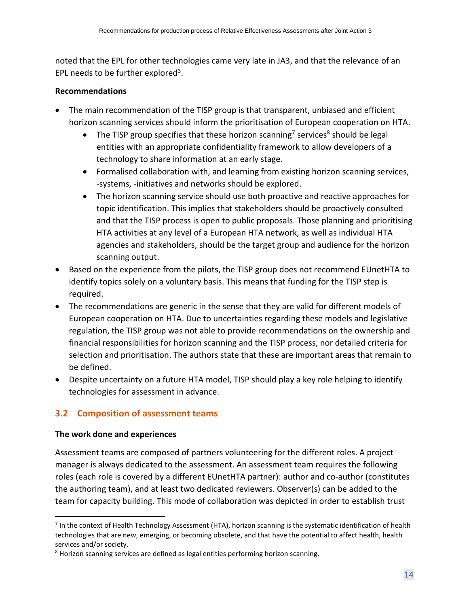noted that the EPL for other technologies came very late in JA3, and that the relevance of an EPL needs to be further explored<sup>[3](#page-11-2)</sup>.

## **Recommendations**

- The main recommendation of the TISP group is that transparent, unbiased and efficient horizon scanning services should inform the prioritisation of European cooperation on HTA.
	- The TISP group specifies that these horizon scanning<sup>7</sup> services<sup>8</sup> should be legal entities with an appropriate confidentiality framework to allow developers of a technology to share information at an early stage.
	- Formalised collaboration with, and learning from existing horizon scanning services, -systems, -initiatives and networks should be explored.
	- The horizon scanning service should use both proactive and reactive approaches for topic identification. This implies that stakeholders should be proactively consulted and that the TISP process is open to public proposals. Those planning and prioritising HTA activities at any level of a European HTA network, as well as individual HTA agencies and stakeholders, should be the target group and audience for the horizon scanning output.
- Based on the experience from the pilots, the TISP group does not recommend EUnetHTA to identify topics solely on a voluntary basis. This means that funding for the TISP step is required.
- The recommendations are generic in the sense that they are valid for different models of European cooperation on HTA. Due to uncertainties regarding these models and legislative regulation, the TISP group was not able to provide recommendations on the ownership and financial responsibilities for horizon scanning and the TISP process, nor detailed criteria for selection and prioritisation. The authors state that these are important areas that remain to be defined.
- Despite uncertainty on a future HTA model, TISP should play a key role helping to identify technologies for assessment in advance.

## <span id="page-13-0"></span>**3.2 Composition of assessment teams**

## **The work done and experiences**

Assessment teams are composed of partners volunteering for the different roles. A project manager is always dedicated to the assessment. An assessment team requires the following roles (each role is covered by a different EUnetHTA partner): author and co-author (constitutes the authoring team), and at least two dedicated reviewers. Observer(s) can be added to the team for capacity building. This mode of collaboration was depicted in order to establish trust

 $^7$  In the context of Health Technology Assessment (HTA), horizon scanning is the systematic identification of health technologies that are new, emerging, or becoming obsolete, and that have the potential to affect health, health services and/or society.

<sup>&</sup>lt;sup>8</sup> Horizon scanning services are defined as legal entities performing horizon scanning.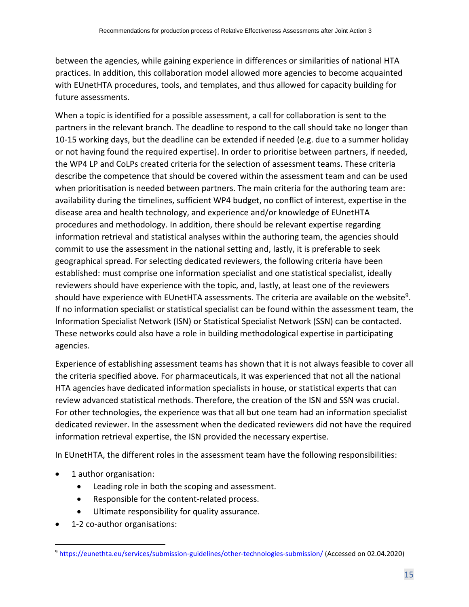between the agencies, while gaining experience in differences or similarities of national HTA practices. In addition, this collaboration model allowed more agencies to become acquainted with EUnetHTA procedures, tools, and templates, and thus allowed for capacity building for future assessments.

When a topic is identified for a possible assessment, a call for collaboration is sent to the partners in the relevant branch. The deadline to respond to the call should take no longer than 10-15 working days, but the deadline can be extended if needed (e.g. due to a summer holiday or not having found the required expertise). In order to prioritise between partners, if needed, the WP4 LP and CoLPs created criteria for the selection of assessment teams. These criteria describe the competence that should be covered within the assessment team and can be used when prioritisation is needed between partners. The main criteria for the authoring team are: availability during the timelines, sufficient WP4 budget, no conflict of interest, expertise in the disease area and health technology, and experience and/or knowledge of EUnetHTA procedures and methodology. In addition, there should be relevant expertise regarding information retrieval and statistical analyses within the authoring team, the agencies should commit to use the assessment in the national setting and, lastly, it is preferable to seek geographical spread. For selecting dedicated reviewers, the following criteria have been established: must comprise one information specialist and one statistical specialist, ideally reviewers should have experience with the topic, and, lastly, at least one of the reviewers should have experience with EUnetHTA assessments. The criteria are available on the website<sup>9</sup>. If no information specialist or statistical specialist can be found within the assessment team, the Information Specialist Network (ISN) or Statistical Specialist Network (SSN) can be contacted. These networks could also have a role in building methodological expertise in participating agencies.

Experience of establishing assessment teams has shown that it is not always feasible to cover all the criteria specified above. For pharmaceuticals, it was experienced that not all the national HTA agencies have dedicated information specialists in house, or statistical experts that can review advanced statistical methods. Therefore, the creation of the ISN and SSN was crucial. For other technologies, the experience was that all but one team had an information specialist dedicated reviewer. In the assessment when the dedicated reviewers did not have the required information retrieval expertise, the ISN provided the necessary expertise.

In EUnetHTA, the different roles in the assessment team have the following responsibilities:

- 1 author organisation:
	- Leading role in both the scoping and assessment.
	- Responsible for the content-related process.
	- Ultimate responsibility for quality assurance.
- 1-2 co-author organisations:

<sup>9</sup> <https://eunethta.eu/services/submission-guidelines/other-technologies-submission/> (Accessed on 02.04.2020)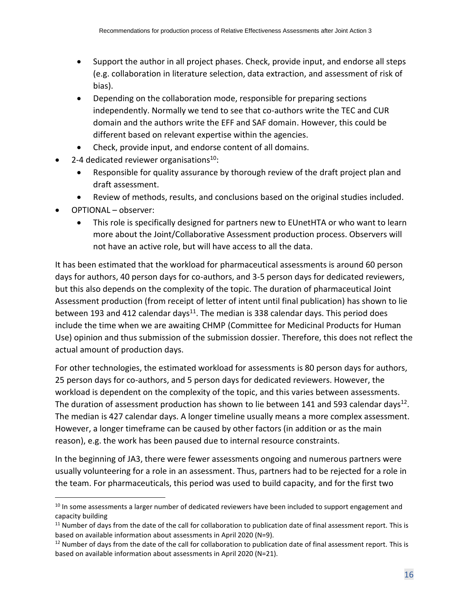- Support the author in all project phases. Check, provide input, and endorse all steps (e.g. collaboration in literature selection, data extraction, and assessment of risk of bias).
- Depending on the collaboration mode, responsible for preparing sections independently. Normally we tend to see that co-authors write the TEC and CUR domain and the authors write the EFF and SAF domain. However, this could be different based on relevant expertise within the agencies.
- Check, provide input, and endorse content of all domains.
- 2-4 dedicated reviewer organisations $10$ :
	- Responsible for quality assurance by thorough review of the draft project plan and draft assessment.
	- Review of methods, results, and conclusions based on the original studies included.
- OPTIONAL observer:
	- This role is specifically designed for partners new to EUnetHTA or who want to learn more about the Joint/Collaborative Assessment production process. Observers will not have an active role, but will have access to all the data.

It has been estimated that the workload for pharmaceutical assessments is around 60 person days for authors, 40 person days for co-authors, and 3-5 person days for dedicated reviewers, but this also depends on the complexity of the topic. The duration of pharmaceutical Joint Assessment production (from receipt of letter of intent until final publication) has shown to lie between 193 and 412 calendar days<sup>11</sup>. The median is 338 calendar days. This period does include the time when we are awaiting CHMP (Committee for Medicinal Products for Human Use) opinion and thus submission of the submission dossier. Therefore, this does not reflect the actual amount of production days.

For other technologies, the estimated workload for assessments is 80 person days for authors, 25 person days for co-authors, and 5 person days for dedicated reviewers. However, the workload is dependent on the complexity of the topic, and this varies between assessments. The duration of assessment production has shown to lie between 141 and 593 calendar days<sup>12</sup>. The median is 427 calendar days. A longer timeline usually means a more complex assessment. However, a longer timeframe can be caused by other factors (in addition or as the main reason), e.g. the work has been paused due to internal resource constraints.

In the beginning of JA3, there were fewer assessments ongoing and numerous partners were usually volunteering for a role in an assessment. Thus, partners had to be rejected for a role in the team. For pharmaceuticals, this period was used to build capacity, and for the first two

<sup>&</sup>lt;sup>10</sup> In some assessments a larger number of dedicated reviewers have been included to support engagement and capacity building

<sup>&</sup>lt;sup>11</sup> Number of days from the date of the call for collaboration to publication date of final assessment report. This is based on available information about assessments in April 2020 (N=9).

 $12$  Number of days from the date of the call for collaboration to publication date of final assessment report. This is based on available information about assessments in April 2020 (N=21).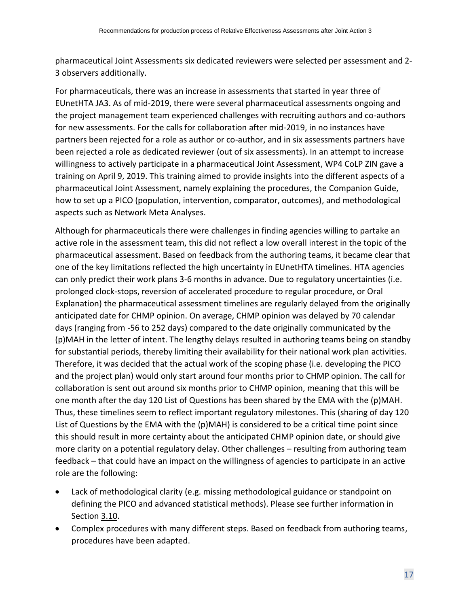pharmaceutical Joint Assessments six dedicated reviewers were selected per assessment and 2- 3 observers additionally.

For pharmaceuticals, there was an increase in assessments that started in year three of EUnetHTA JA3. As of mid-2019, there were several pharmaceutical assessments ongoing and the project management team experienced challenges with recruiting authors and co-authors for new assessments. For the calls for collaboration after mid-2019, in no instances have partners been rejected for a role as author or co-author, and in six assessments partners have been rejected a role as dedicated reviewer (out of six assessments). In an attempt to increase willingness to actively participate in a pharmaceutical Joint Assessment, WP4 CoLP ZIN gave a training on April 9, 2019. This training aimed to provide insights into the different aspects of a pharmaceutical Joint Assessment, namely explaining the procedures, the Companion Guide, how to set up a PICO (population, intervention, comparator, outcomes), and methodological aspects such as Network Meta Analyses.

Although for pharmaceuticals there were challenges in finding agencies willing to partake an active role in the assessment team, this did not reflect a low overall interest in the topic of the pharmaceutical assessment. Based on feedback from the authoring teams, it became clear that one of the key limitations reflected the high uncertainty in EUnetHTA timelines. HTA agencies can only predict their work plans 3-6 months in advance. Due to regulatory uncertainties (i.e. prolonged clock-stops, reversion of accelerated procedure to regular procedure, or Oral Explanation) the pharmaceutical assessment timelines are regularly delayed from the originally anticipated date for CHMP opinion. On average, CHMP opinion was delayed by 70 calendar days (ranging from -56 to 252 days) compared to the date originally communicated by the (p)MAH in the letter of intent. The lengthy delays resulted in authoring teams being on standby for substantial periods, thereby limiting their availability for their national work plan activities. Therefore, it was decided that the actual work of the scoping phase (i.e. developing the PICO and the project plan) would only start around four months prior to CHMP opinion. The call for collaboration is sent out around six months prior to CHMP opinion, meaning that this will be one month after the day 120 List of Questions has been shared by the EMA with the (p)MAH. Thus, these timelines seem to reflect important regulatory milestones. This (sharing of day 120 List of Questions by the EMA with the (p)MAH) is considered to be a critical time point since this should result in more certainty about the anticipated CHMP opinion date, or should give more clarity on a potential regulatory delay. Other challenges – resulting from authoring team feedback – that could have an impact on the willingness of agencies to participate in an active role are the following:

- Lack of methodological clarity (e.g. missing methodological guidance or standpoint on defining the PICO and advanced statistical methods). Please see further information in Section [3.10.](#page-48-0)
- Complex procedures with many different steps. Based on feedback from authoring teams, procedures have been adapted.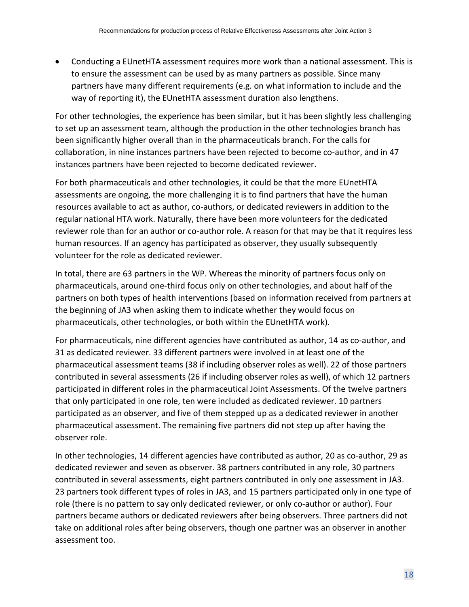• Conducting a EUnetHTA assessment requires more work than a national assessment. This is to ensure the assessment can be used by as many partners as possible. Since many partners have many different requirements (e.g. on what information to include and the way of reporting it), the EUnetHTA assessment duration also lengthens.

For other technologies, the experience has been similar, but it has been slightly less challenging to set up an assessment team, although the production in the other technologies branch has been significantly higher overall than in the pharmaceuticals branch. For the calls for collaboration, in nine instances partners have been rejected to become co-author, and in 47 instances partners have been rejected to become dedicated reviewer.

For both pharmaceuticals and other technologies, it could be that the more EUnetHTA assessments are ongoing, the more challenging it is to find partners that have the human resources available to act as author, co-authors, or dedicated reviewers in addition to the regular national HTA work. Naturally, there have been more volunteers for the dedicated reviewer role than for an author or co-author role. A reason for that may be that it requires less human resources. If an agency has participated as observer, they usually subsequently volunteer for the role as dedicated reviewer.

In total, there are 63 partners in the WP. Whereas the minority of partners focus only on pharmaceuticals, around one-third focus only on other technologies, and about half of the partners on both types of health interventions (based on information received from partners at the beginning of JA3 when asking them to indicate whether they would focus on pharmaceuticals, other technologies, or both within the EUnetHTA work).

For pharmaceuticals, nine different agencies have contributed as author, 14 as co-author, and 31 as dedicated reviewer. 33 different partners were involved in at least one of the pharmaceutical assessment teams (38 if including observer roles as well). 22 of those partners contributed in several assessments (26 if including observer roles as well), of which 12 partners participated in different roles in the pharmaceutical Joint Assessments. Of the twelve partners that only participated in one role, ten were included as dedicated reviewer. 10 partners participated as an observer, and five of them stepped up as a dedicated reviewer in another pharmaceutical assessment. The remaining five partners did not step up after having the observer role.

In other technologies, 14 different agencies have contributed as author, 20 as co-author, 29 as dedicated reviewer and seven as observer. 38 partners contributed in any role, 30 partners contributed in several assessments, eight partners contributed in only one assessment in JA3. 23 partners took different types of roles in JA3, and 15 partners participated only in one type of role (there is no pattern to say only dedicated reviewer, or only co-author or author). Four partners became authors or dedicated reviewers after being observers. Three partners did not take on additional roles after being observers, though one partner was an observer in another assessment too.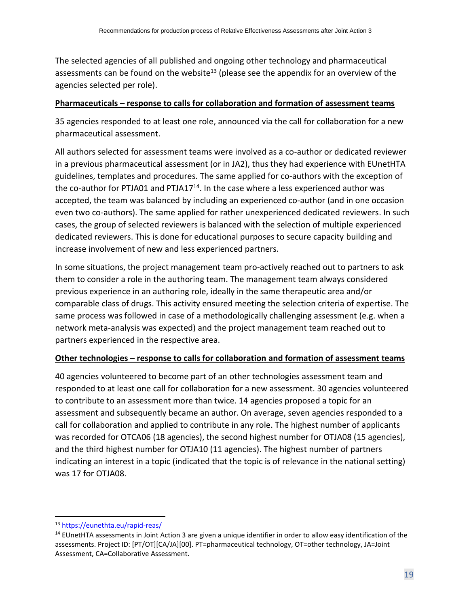The selected agencies of all published and ongoing other technology and pharmaceutical assessments can be found on the website<sup>13</sup> (please see the appendix for an overview of the agencies selected per role).

#### **Pharmaceuticals – response to calls for collaboration and formation of assessment teams**

35 agencies responded to at least one role, announced via the call for collaboration for a new pharmaceutical assessment.

All authors selected for assessment teams were involved as a co-author or dedicated reviewer in a previous pharmaceutical assessment (or in JA2), thus they had experience with EUnetHTA guidelines, templates and procedures. The same applied for co-authors with the exception of the co-author for PTJA01 and PTJA17 $14$ . In the case where a less experienced author was accepted, the team was balanced by including an experienced co-author (and in one occasion even two co-authors). The same applied for rather unexperienced dedicated reviewers. In such cases, the group of selected reviewers is balanced with the selection of multiple experienced dedicated reviewers. This is done for educational purposes to secure capacity building and increase involvement of new and less experienced partners.

In some situations, the project management team pro-actively reached out to partners to ask them to consider a role in the authoring team. The management team always considered previous experience in an authoring role, ideally in the same therapeutic area and/or comparable class of drugs. This activity ensured meeting the selection criteria of expertise. The same process was followed in case of a methodologically challenging assessment (e.g. when a network meta-analysis was expected) and the project management team reached out to partners experienced in the respective area.

## **Other technologies – response to calls for collaboration and formation of assessment teams**

40 agencies volunteered to become part of an other technologies assessment team and responded to at least one call for collaboration for a new assessment. 30 agencies volunteered to contribute to an assessment more than twice. 14 agencies proposed a topic for an assessment and subsequently became an author. On average, seven agencies responded to a call for collaboration and applied to contribute in any role. The highest number of applicants was recorded for OTCA06 (18 agencies), the second highest number for OTJA08 (15 agencies), and the third highest number for OTJA10 (11 agencies). The highest number of partners indicating an interest in a topic (indicated that the topic is of relevance in the national setting) was 17 for OTJA08.

<sup>13</sup> <https://eunethta.eu/rapid-reas/>

<sup>&</sup>lt;sup>14</sup> EUnetHTA assessments in Joint Action 3 are given a unique identifier in order to allow easy identification of the assessments. Project ID: [PT/OT][CA/JA][00]. PT=pharmaceutical technology, OT=other technology, JA=Joint Assessment, CA=Collaborative Assessment.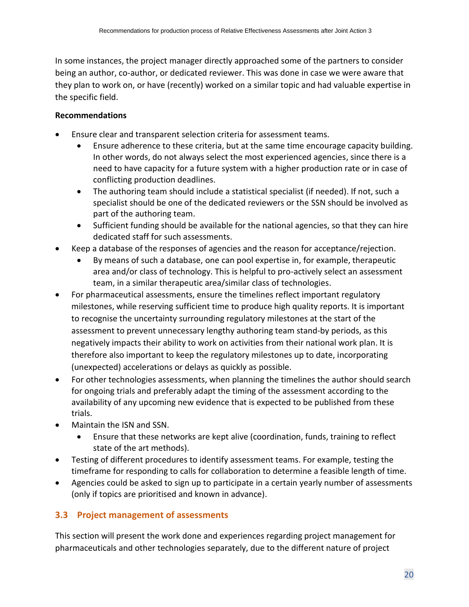In some instances, the project manager directly approached some of the partners to consider being an author, co-author, or dedicated reviewer. This was done in case we were aware that they plan to work on, or have (recently) worked on a similar topic and had valuable expertise in the specific field.

## **Recommendations**

- Ensure clear and transparent selection criteria for assessment teams.
	- Ensure adherence to these criteria, but at the same time encourage capacity building. In other words, do not always select the most experienced agencies, since there is a need to have capacity for a future system with a higher production rate or in case of conflicting production deadlines.
	- The authoring team should include a statistical specialist (if needed). If not, such a specialist should be one of the dedicated reviewers or the SSN should be involved as part of the authoring team.
	- Sufficient funding should be available for the national agencies, so that they can hire dedicated staff for such assessments.
- Keep a database of the responses of agencies and the reason for acceptance/rejection.
	- By means of such a database, one can pool expertise in, for example, therapeutic area and/or class of technology. This is helpful to pro-actively select an assessment team, in a similar therapeutic area/similar class of technologies.
- For pharmaceutical assessments, ensure the timelines reflect important regulatory milestones, while reserving sufficient time to produce high quality reports. It is important to recognise the uncertainty surrounding regulatory milestones at the start of the assessment to prevent unnecessary lengthy authoring team stand-by periods, as this negatively impacts their ability to work on activities from their national work plan. It is therefore also important to keep the regulatory milestones up to date, incorporating (unexpected) accelerations or delays as quickly as possible.
- For other technologies assessments, when planning the timelines the author should search for ongoing trials and preferably adapt the timing of the assessment according to the availability of any upcoming new evidence that is expected to be published from these trials.
- Maintain the ISN and SSN.
	- Ensure that these networks are kept alive (coordination, funds, training to reflect state of the art methods).
- Testing of different procedures to identify assessment teams. For example, testing the timeframe for responding to calls for collaboration to determine a feasible length of time.
- Agencies could be asked to sign up to participate in a certain yearly number of assessments (only if topics are prioritised and known in advance).

## <span id="page-19-0"></span>**3.3 Project management of assessments**

This section will present the work done and experiences regarding project management for pharmaceuticals and other technologies separately, due to the different nature of project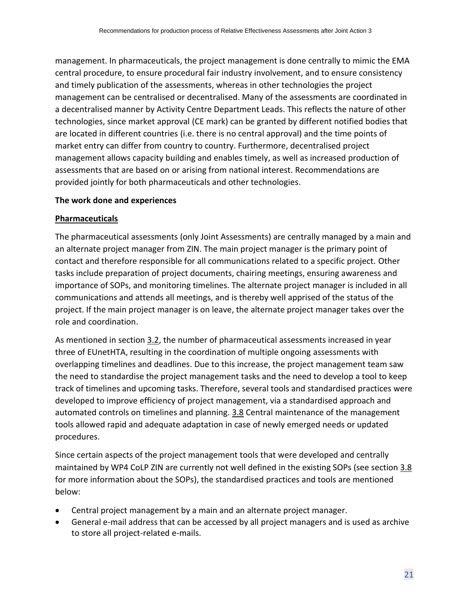management. In pharmaceuticals, the project management is done centrally to mimic the EMA central procedure, to ensure procedural fair industry involvement, and to ensure consistency and timely publication of the assessments, whereas in other technologies the project management can be centralised or decentralised. Many of the assessments are coordinated in a decentralised manner by Activity Centre Department Leads. This reflects the nature of other technologies, since market approval (CE mark) can be granted by different notified bodies that are located in different countries (i.e. there is no central approval) and the time points of market entry can differ from country to country. Furthermore, decentralised project management allows capacity building and enables timely, as well as increased production of assessments that are based on or arising from national interest. Recommendations are provided jointly for both pharmaceuticals and other technologies.

#### **The work done and experiences**

#### **Pharmaceuticals**

The pharmaceutical assessments (only Joint Assessments) are centrally managed by a main and an alternate project manager from ZIN. The main project manager is the primary point of contact and therefore responsible for all communications related to a specific project. Other tasks include preparation of project documents, chairing meetings, ensuring awareness and importance of SOPs, and monitoring timelines. The alternate project manager is included in all communications and attends all meetings, and is thereby well apprised of the status of the project. If the main project manager is on leave, the alternate project manager takes over the role and coordination.

As mentioned in section [3.2,](#page-13-0) the number of pharmaceutical assessments increased in year three of EUnetHTA, resulting in the coordination of multiple ongoing assessments with overlapping timelines and deadlines. Due to this increase, the project management team saw the need to standardise the project management tasks and the need to develop a tool to keep track of timelines and upcoming tasks. Therefore, several tools and standardised practices were developed to improve efficiency of project management, via a standardised approach and automated controls on timelines and planning. [3.8](#page-39-0) Central maintenance of the management tools allowed rapid and adequate adaptation in case of newly emerged needs or updated procedures.

Since certain aspects of the project management tools that were developed and centrally maintained by WP4 CoLP ZIN are currently not well defined in the existing SOPs (see section [3.8](#page-39-0) for more information about the SOPs), the standardised practices and tools are mentioned below:

- Central project management by a main and an alternate project manager.
- General e-mail address that can be accessed by all project managers and is used as archive to store all project-related e-mails.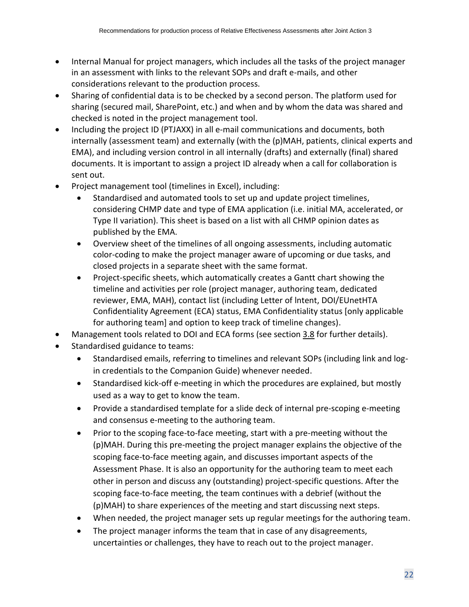- Internal Manual for project managers, which includes all the tasks of the project manager in an assessment with links to the relevant SOPs and draft e-mails, and other considerations relevant to the production process.
- Sharing of confidential data is to be checked by a second person. The platform used for sharing (secured mail, SharePoint, etc.) and when and by whom the data was shared and checked is noted in the project management tool.
- Including the project ID (PTJAXX) in all e-mail communications and documents, both internally (assessment team) and externally (with the (p)MAH, patients, clinical experts and EMA), and including version control in all internally (drafts) and externally (final) shared documents. It is important to assign a project ID already when a call for collaboration is sent out.
- Project management tool (timelines in Excel), including:
	- Standardised and automated tools to set up and update project timelines, considering CHMP date and type of EMA application (i.e. initial MA, accelerated, or Type II variation). This sheet is based on a list with all CHMP opinion dates as published by the EMA.
	- Overview sheet of the timelines of all ongoing assessments, including automatic color-coding to make the project manager aware of upcoming or due tasks, and closed projects in a separate sheet with the same format.
	- Project-specific sheets, which automatically creates a Gantt chart showing the timeline and activities per role (project manager, authoring team, dedicated reviewer, EMA, MAH), contact list (including Letter of lntent, DOI/EUnetHTA Confidentiality Agreement (ECA) status, EMA Confidentiality status [only applicable for authoring team] and option to keep track of timeline changes).

• Management tools related to DOI and ECA forms (see section [3.8](#page-39-0) for further details).

- Standardised guidance to teams:
	- Standardised emails, referring to timelines and relevant SOPs (including link and login credentials to the Companion Guide) whenever needed.
	- Standardised kick-off e-meeting in which the procedures are explained, but mostly used as a way to get to know the team.
	- Provide a standardised template for a slide deck of internal pre-scoping e-meeting and consensus e-meeting to the authoring team.
	- Prior to the scoping face-to-face meeting, start with a pre-meeting without the (p)MAH. During this pre-meeting the project manager explains the objective of the scoping face-to-face meeting again, and discusses important aspects of the Assessment Phase. It is also an opportunity for the authoring team to meet each other in person and discuss any (outstanding) project-specific questions. After the scoping face-to-face meeting, the team continues with a debrief (without the (p)MAH) to share experiences of the meeting and start discussing next steps.
	- When needed, the project manager sets up regular meetings for the authoring team.
	- The project manager informs the team that in case of any disagreements, uncertainties or challenges, they have to reach out to the project manager.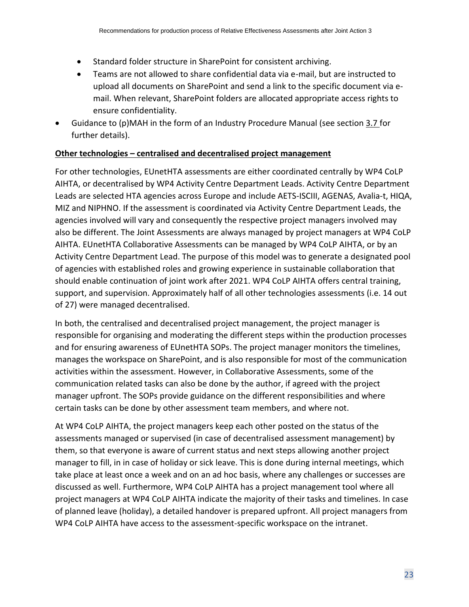- Standard folder structure in SharePoint for consistent archiving.
- Teams are not allowed to share confidential data via e-mail, but are instructed to upload all documents on SharePoint and send a link to the specific document via email. When relevant, SharePoint folders are allocated appropriate access rights to ensure confidentiality.
- Guidance to (p)MAH in the form of an Industry Procedure Manual (see sectio[n 3.7](#page-32-0) for further details).

#### **Other technologies – centralised and decentralised project management**

For other technologies, EUnetHTA assessments are either coordinated centrally by WP4 CoLP AIHTA, or decentralised by WP4 Activity Centre Department Leads. Activity Centre Department Leads are selected HTA agencies across Europe and include AETS-ISCIII, AGENAS, Avalia-t, HIQA, MIZ and NIPHNO. If the assessment is coordinated via Activity Centre Department Leads, the agencies involved will vary and consequently the respective project managers involved may also be different. The Joint Assessments are always managed by project managers at WP4 CoLP AIHTA. EUnetHTA Collaborative Assessments can be managed by WP4 CoLP AIHTA, or by an Activity Centre Department Lead. The purpose of this model was to generate a designated pool of agencies with established roles and growing experience in sustainable collaboration that should enable continuation of joint work after 2021. WP4 CoLP AIHTA offers central training, support, and supervision. Approximately half of all other technologies assessments (i.e. 14 out of 27) were managed decentralised.

In both, the centralised and decentralised project management, the project manager is responsible for organising and moderating the different steps within the production processes and for ensuring awareness of EUnetHTA SOPs. The project manager monitors the timelines, manages the workspace on SharePoint, and is also responsible for most of the communication activities within the assessment. However, in Collaborative Assessments, some of the communication related tasks can also be done by the author, if agreed with the project manager upfront. The SOPs provide guidance on the different responsibilities and where certain tasks can be done by other assessment team members, and where not.

At WP4 CoLP AIHTA, the project managers keep each other posted on the status of the assessments managed or supervised (in case of decentralised assessment management) by them, so that everyone is aware of current status and next steps allowing another project manager to fill, in in case of holiday or sick leave. This is done during internal meetings, which take place at least once a week and on an ad hoc basis, where any challenges or successes are discussed as well. Furthermore, WP4 CoLP AIHTA has a project management tool where all project managers at WP4 CoLP AIHTA indicate the majority of their tasks and timelines. In case of planned leave (holiday), a detailed handover is prepared upfront. All project managers from WP4 CoLP AIHTA have access to the assessment-specific workspace on the intranet.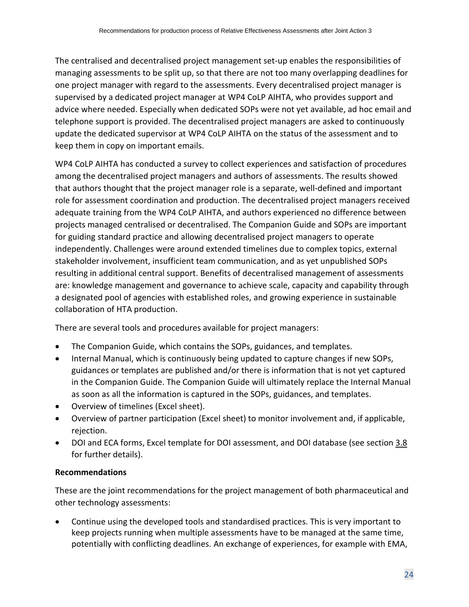The centralised and decentralised project management set-up enables the responsibilities of managing assessments to be split up, so that there are not too many overlapping deadlines for one project manager with regard to the assessments. Every decentralised project manager is supervised by a dedicated project manager at WP4 CoLP AIHTA, who provides support and advice where needed. Especially when dedicated SOPs were not yet available, ad hoc email and telephone support is provided. The decentralised project managers are asked to continuously update the dedicated supervisor at WP4 CoLP AIHTA on the status of the assessment and to keep them in copy on important emails.

WP4 CoLP AIHTA has conducted a survey to collect experiences and satisfaction of procedures among the decentralised project managers and authors of assessments. The results showed that authors thought that the project manager role is a separate, well-defined and important role for assessment coordination and production. The decentralised project managers received adequate training from the WP4 CoLP AIHTA, and authors experienced no difference between projects managed centralised or decentralised. The Companion Guide and SOPs are important for guiding standard practice and allowing decentralised project managers to operate independently. Challenges were around extended timelines due to complex topics, external stakeholder involvement, insufficient team communication, and as yet unpublished SOPs resulting in additional central support. Benefits of decentralised management of assessments are: knowledge management and governance to achieve scale, capacity and capability through a designated pool of agencies with established roles, and growing experience in sustainable collaboration of HTA production.

There are several tools and procedures available for project managers:

- The Companion Guide, which contains the SOPs, guidances, and templates.
- Internal Manual, which is continuously being updated to capture changes if new SOPs, guidances or templates are published and/or there is information that is not yet captured in the Companion Guide. The Companion Guide will ultimately replace the Internal Manual as soon as all the information is captured in the SOPs, guidances, and templates.
- Overview of timelines (Excel sheet).
- Overview of partner participation (Excel sheet) to monitor involvement and, if applicable, rejection.
- DOI and ECA forms, Excel template for DOI assessment, and DOI database (see section [3.8](#page-39-0) for further details).

## **Recommendations**

These are the joint recommendations for the project management of both pharmaceutical and other technology assessments:

• Continue using the developed tools and standardised practices. This is very important to keep projects running when multiple assessments have to be managed at the same time, potentially with conflicting deadlines. An exchange of experiences, for example with EMA,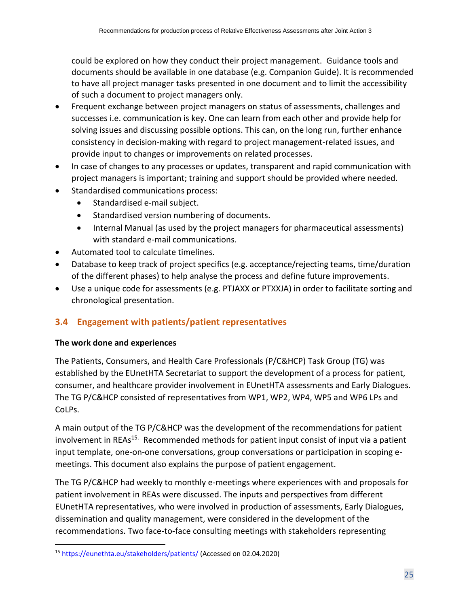could be explored on how they conduct their project management. Guidance tools and documents should be available in one database (e.g. Companion Guide). It is recommended to have all project manager tasks presented in one document and to limit the accessibility of such a document to project managers only.

- Frequent exchange between project managers on status of assessments, challenges and successes i.e. communication is key. One can learn from each other and provide help for solving issues and discussing possible options. This can, on the long run, further enhance consistency in decision-making with regard to project management-related issues, and provide input to changes or improvements on related processes.
- In case of changes to any processes or updates, transparent and rapid communication with project managers is important; training and support should be provided where needed.
- Standardised communications process:
	- Standardised e-mail subject.
	- Standardised version numbering of documents.
	- Internal Manual (as used by the project managers for pharmaceutical assessments) with standard e-mail communications.
- Automated tool to calculate timelines.
- Database to keep track of project specifics (e.g. acceptance/rejecting teams, time/duration of the different phases) to help analyse the process and define future improvements.
- Use a unique code for assessments (e.g. PTJAXX or PTXXJA) in order to facilitate sorting and chronological presentation.

## <span id="page-24-0"></span>**3.4 Engagement with patients/patient representatives**

## **The work done and experiences**

The Patients, Consumers, and Health Care Professionals (P/C&HCP) Task Group (TG) was established by the EUnetHTA Secretariat to support the development of a process for patient, consumer, and healthcare provider involvement in EUnetHTA assessments and Early Dialogues. The TG P/C&HCP consisted of representatives from WP1, WP2, WP4, WP5 and WP6 LPs and CoLPs.

A main output of the TG P/C&HCP was the development of the recommendations for patient involvement in REAs<sup>15.</sup> Recommended methods for patient input consist of input via a patient input template, one-on-one conversations, group conversations or participation in scoping emeetings. This document also explains the purpose of patient engagement.

The TG P/C&HCP had weekly to monthly e-meetings where experiences with and proposals for patient involvement in REAs were discussed. The inputs and perspectives from different EUnetHTA representatives, who were involved in production of assessments, Early Dialogues, dissemination and quality management, were considered in the development of the recommendations. Two face-to-face consulting meetings with stakeholders representing

<sup>15</sup> <https://eunethta.eu/stakeholders/patients/> (Accessed on 02.04.2020)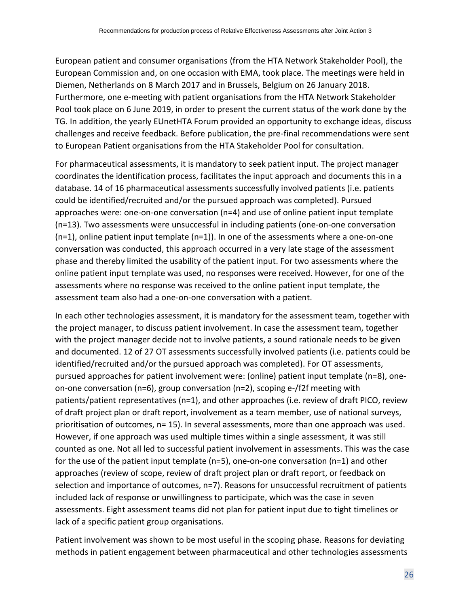European patient and consumer organisations (from the HTA Network Stakeholder Pool), the European Commission and, on one occasion with EMA, took place. The meetings were held in Diemen, Netherlands on 8 March 2017 and in Brussels, Belgium on 26 January 2018. Furthermore, one e-meeting with patient organisations from the HTA Network Stakeholder Pool took place on 6 June 2019, in order to present the current status of the work done by the TG. In addition, the yearly EUnetHTA Forum provided an opportunity to exchange ideas, discuss challenges and receive feedback. Before publication, the pre-final recommendations were sent to European Patient organisations from the HTA Stakeholder Pool for consultation.

For pharmaceutical assessments, it is mandatory to seek patient input. The project manager coordinates the identification process, facilitates the input approach and documents this in a database. 14 of 16 pharmaceutical assessments successfully involved patients (i.e. patients could be identified/recruited and/or the pursued approach was completed). Pursued approaches were: one-on-one conversation (n=4) and use of online patient input template (n=13). Two assessments were unsuccessful in including patients (one-on-one conversation (n=1), online patient input template (n=1)). In one of the assessments where a one-on-one conversation was conducted, this approach occurred in a very late stage of the assessment phase and thereby limited the usability of the patient input. For two assessments where the online patient input template was used, no responses were received. However, for one of the assessments where no response was received to the online patient input template, the assessment team also had a one-on-one conversation with a patient.

In each other technologies assessment, it is mandatory for the assessment team, together with the project manager, to discuss patient involvement. In case the assessment team, together with the project manager decide not to involve patients, a sound rationale needs to be given and documented. 12 of 27 OT assessments successfully involved patients (i.e. patients could be identified/recruited and/or the pursued approach was completed). For OT assessments, pursued approaches for patient involvement were: (online) patient input template (n=8), oneon-one conversation (n=6), group conversation (n=2), scoping e-/f2f meeting with patients/patient representatives (n=1), and other approaches (i.e. review of draft PICO, review of draft project plan or draft report, involvement as a team member, use of national surveys, prioritisation of outcomes, n= 15). In several assessments, more than one approach was used. However, if one approach was used multiple times within a single assessment, it was still counted as one. Not all led to successful patient involvement in assessments. This was the case for the use of the patient input template (n=5), one-on-one conversation (n=1) and other approaches (review of scope, review of draft project plan or draft report, or feedback on selection and importance of outcomes, n=7). Reasons for unsuccessful recruitment of patients included lack of response or unwillingness to participate, which was the case in seven assessments. Eight assessment teams did not plan for patient input due to tight timelines or lack of a specific patient group organisations.

Patient involvement was shown to be most useful in the scoping phase. Reasons for deviating methods in patient engagement between pharmaceutical and other technologies assessments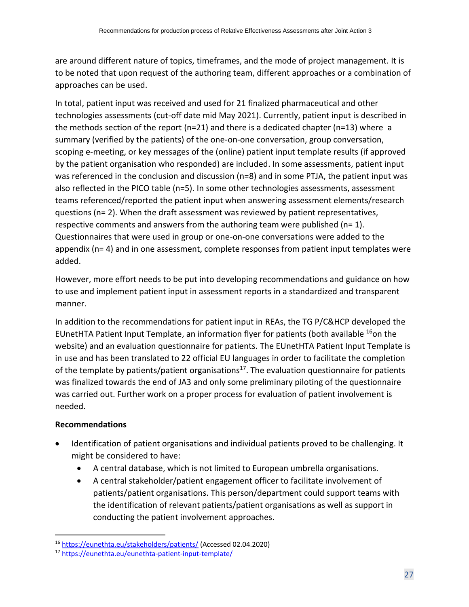are around different nature of topics, timeframes, and the mode of project management. It is to be noted that upon request of the authoring team, different approaches or a combination of approaches can be used.

In total, patient input was received and used for 21 finalized pharmaceutical and other technologies assessments (cut-off date mid May 2021). Currently, patient input is described in the methods section of the report ( $n=21$ ) and there is a dedicated chapter ( $n=13$ ) where a summary (verified by the patients) of the one-on-one conversation, group conversation, scoping e-meeting, or key messages of the (online) patient input template results (if approved by the patient organisation who responded) are included. In some assessments, patient input was referenced in the conclusion and discussion (n=8) and in some PTJA, the patient input was also reflected in the PICO table (n=5). In some other technologies assessments, assessment teams referenced/reported the patient input when answering assessment elements/research questions (n= 2). When the draft assessment was reviewed by patient representatives, respective comments and answers from the authoring team were published ( $n= 1$ ). Questionnaires that were used in group or one-on-one conversations were added to the appendix (n= 4) and in one assessment, complete responses from patient input templates were added.

However, more effort needs to be put into developing recommendations and guidance on how to use and implement patient input in assessment reports in a standardized and transparent manner.

In addition to the recommendations for patient input in REAs, the TG P/C&HCP developed the EUnetHTA Patient Input Template, an information flyer for patients (both available <sup>16</sup>on the website) and an evaluation questionnaire for patients. The EUnetHTA Patient Input Template is in use and has been translated to 22 official EU languages in order to facilitate the completion of the template by patients/patient organisations<sup>17</sup>. The evaluation questionnaire for patients was finalized towards the end of JA3 and only some preliminary piloting of the questionnaire was carried out. Further work on a proper process for evaluation of patient involvement is needed.

## **Recommendations**

- Identification of patient organisations and individual patients proved to be challenging. It might be considered to have:
	- A central database, which is not limited to European umbrella organisations.
	- A central stakeholder/patient engagement officer to facilitate involvement of patients/patient organisations. This person/department could support teams with the identification of relevant patients/patient organisations as well as support in conducting the patient involvement approaches.

<sup>16</sup> <https://eunethta.eu/stakeholders/patients/> (Accessed 02.04.2020)

<sup>17</sup> <https://eunethta.eu/eunethta-patient-input-template/>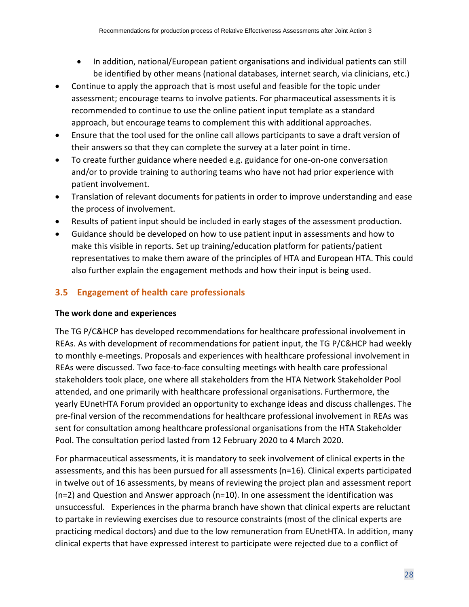- In addition, national/European patient organisations and individual patients can still be identified by other means (national databases, internet search, via clinicians, etc.)
- Continue to apply the approach that is most useful and feasible for the topic under assessment; encourage teams to involve patients. For pharmaceutical assessments it is recommended to continue to use the online patient input template as a standard approach, but encourage teams to complement this with additional approaches.
- Ensure that the tool used for the online call allows participants to save a draft version of their answers so that they can complete the survey at a later point in time.
- To create further guidance where needed e.g. guidance for one-on-one conversation and/or to provide training to authoring teams who have not had prior experience with patient involvement.
- Translation of relevant documents for patients in order to improve understanding and ease the process of involvement.
- Results of patient input should be included in early stages of the assessment production.
- Guidance should be developed on how to use patient input in assessments and how to make this visible in reports. Set up training/education platform for patients/patient representatives to make them aware of the principles of HTA and European HTA. This could also further explain the engagement methods and how their input is being used.

## <span id="page-27-0"></span>**3.5 Engagement of health care professionals**

## **The work done and experiences**

The TG P/C&HCP has developed recommendations for healthcare professional involvement in REAs. As with development of recommendations for patient input, the TG P/C&HCP had weekly to monthly e-meetings. Proposals and experiences with healthcare professional involvement in REAs were discussed. Two face-to-face consulting meetings with health care professional stakeholders took place, one where all stakeholders from the HTA Network Stakeholder Pool attended, and one primarily with healthcare professional organisations. Furthermore, the yearly EUnetHTA Forum provided an opportunity to exchange ideas and discuss challenges. The pre-final version of the recommendations for healthcare professional involvement in REAs was sent for consultation among healthcare professional organisations from the HTA Stakeholder Pool. The consultation period lasted from 12 February 2020 to 4 March 2020.

For pharmaceutical assessments, it is mandatory to seek involvement of clinical experts in the assessments, and this has been pursued for all assessments (n=16). Clinical experts participated in twelve out of 16 assessments, by means of reviewing the project plan and assessment report  $(n=2)$  and Question and Answer approach  $(n=10)$ . In one assessment the identification was unsuccessful. Experiences in the pharma branch have shown that clinical experts are reluctant to partake in reviewing exercises due to resource constraints (most of the clinical experts are practicing medical doctors) and due to the low remuneration from EUnetHTA. In addition, many clinical experts that have expressed interest to participate were rejected due to a conflict of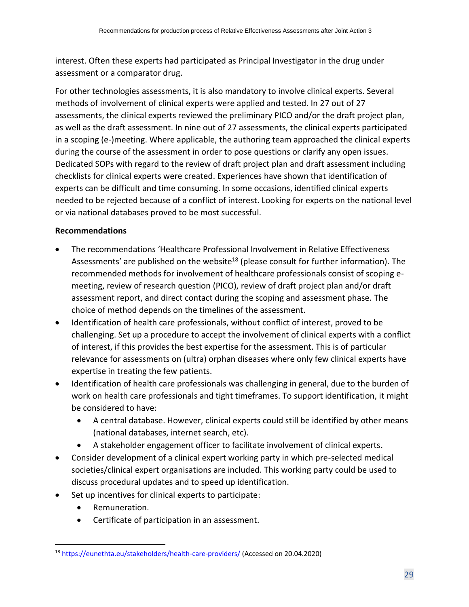interest. Often these experts had participated as Principal Investigator in the drug under assessment or a comparator drug.

For other technologies assessments, it is also mandatory to involve clinical experts. Several methods of involvement of clinical experts were applied and tested. In 27 out of 27 assessments, the clinical experts reviewed the preliminary PICO and/or the draft project plan, as well as the draft assessment. In nine out of 27 assessments, the clinical experts participated in a scoping (e-)meeting. Where applicable, the authoring team approached the clinical experts during the course of the assessment in order to pose questions or clarify any open issues. Dedicated SOPs with regard to the review of draft project plan and draft assessment including checklists for clinical experts were created. Experiences have shown that identification of experts can be difficult and time consuming. In some occasions, identified clinical experts needed to be rejected because of a conflict of interest. Looking for experts on the national level or via national databases proved to be most successful.

## **Recommendations**

- The recommendations 'Healthcare Professional Involvement in Relative Effectiveness Assessments' are published on the website<sup>18</sup> (please consult for further information). The recommended methods for involvement of healthcare professionals consist of scoping emeeting, review of research question (PICO), review of draft project plan and/or draft assessment report, and direct contact during the scoping and assessment phase. The choice of method depends on the timelines of the assessment.
- Identification of health care professionals, without conflict of interest, proved to be challenging. Set up a procedure to accept the involvement of clinical experts with a conflict of interest, if this provides the best expertise for the assessment. This is of particular relevance for assessments on (ultra) orphan diseases where only few clinical experts have expertise in treating the few patients.
- Identification of health care professionals was challenging in general, due to the burden of work on health care professionals and tight timeframes. To support identification, it might be considered to have:
	- A central database. However, clinical experts could still be identified by other means (national databases, internet search, etc).
	- A stakeholder engagement officer to facilitate involvement of clinical experts.
- Consider development of a clinical expert working party in which pre-selected medical societies/clinical expert organisations are included. This working party could be used to discuss procedural updates and to speed up identification.
- Set up incentives for clinical experts to participate:
	- Remuneration.
	- Certificate of participation in an assessment.

<sup>18</sup> <https://eunethta.eu/stakeholders/health-care-providers/> (Accessed on 20.04.2020)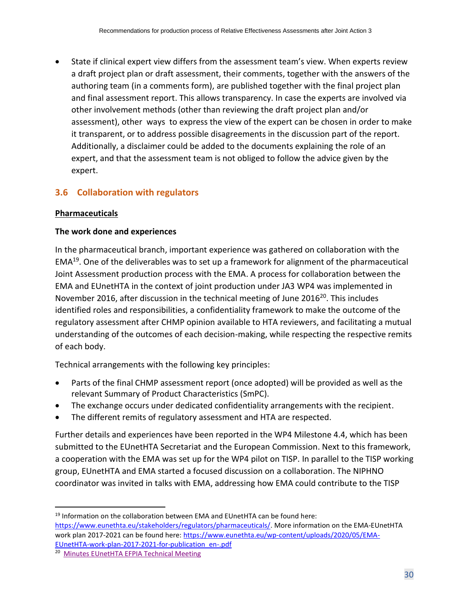• State if clinical expert view differs from the assessment team's view. When experts review a draft project plan or draft assessment, their comments, together with the answers of the authoring team (in a comments form), are published together with the final project plan and final assessment report. This allows transparency. In case the experts are involved via other involvement methods (other than reviewing the draft project plan and/or assessment), other ways to express the view of the expert can be chosen in order to make it transparent, or to address possible disagreements in the discussion part of the report. Additionally, a disclaimer could be added to the documents explaining the role of an expert, and that the assessment team is not obliged to follow the advice given by the expert.

## <span id="page-29-0"></span>**3.6 Collaboration with regulators**

## **Pharmaceuticals**

## **The work done and experiences**

In the pharmaceutical branch, important experience was gathered on collaboration with the EMA<sup>19</sup>. One of the deliverables was to set up a framework for alignment of the pharmaceutical Joint Assessment production process with the EMA. A process for collaboration between the EMA and EUnetHTA in the context of joint production under JA3 WP4 was implemented in November 2016, after discussion in the technical meeting of June 2016 $^{20}$ . This includes identified roles and responsibilities, a confidentiality framework to make the outcome of the regulatory assessment after CHMP opinion available to HTA reviewers, and facilitating a mutual understanding of the outcomes of each decision-making, while respecting the respective remits of each body.

Technical arrangements with the following key principles:

- Parts of the final CHMP assessment report (once adopted) will be provided as well as the relevant Summary of Product Characteristics (SmPC).
- The exchange occurs under dedicated confidentiality arrangements with the recipient.
- The different remits of regulatory assessment and HTA are respected.

Further details and experiences have been reported in the WP4 Milestone 4.4, which has been submitted to the EUnetHTA Secretariat and the European Commission. Next to this framework, a cooperation with the EMA was set up for the WP4 pilot on TISP. In parallel to the TISP working group, EUnetHTA and EMA started a focused discussion on a collaboration. The NIPHNO coordinator was invited in talks with EMA, addressing how EMA could contribute to the TISP

 $19$  Information on the collaboration between EMA and EUnetHTA can be found here: [https://www.eunethta.eu/stakeholders/regulators/pharmaceuticals/.](https://www.eunethta.eu/stakeholders/regulators/pharmaceuticals/) More information on the EMA-EUnetHTA work plan 2017-2021 can be found here[: https://www.eunethta.eu/wp-content/uploads/2020/05/EMA-](https://www.eunethta.eu/wp-content/uploads/2020/05/EMA-EUnetHTA-work-plan-2017-2021-for-publication_en-.pdf)[EUnetHTA-work-plan-2017-2021-for-publication\\_en-.pdf](https://www.eunethta.eu/wp-content/uploads/2020/05/EMA-EUnetHTA-work-plan-2017-2021-for-publication_en-.pdf)

<sup>&</sup>lt;sup>20</sup> [Minutes EUnetHTA EFPIA Technical Meeting](http://www.efpia.eu/media/25162/eunethta-efpia-technical-meeting-paris-june-7-2016.pdf)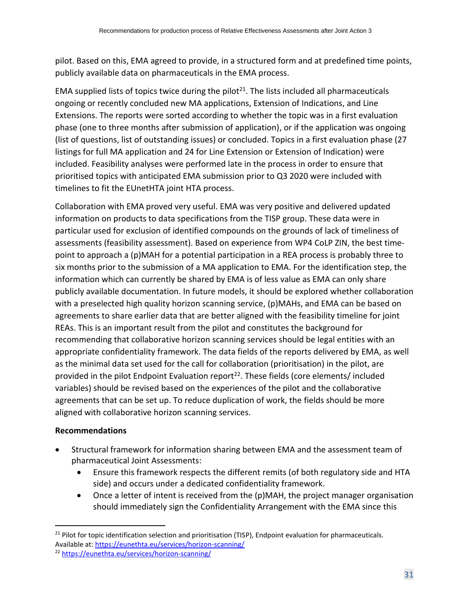pilot. Based on this, EMA agreed to provide, in a structured form and at predefined time points, publicly available data on pharmaceuticals in the EMA process.

EMA supplied lists of topics twice during the pilot<sup>21</sup>. The lists included all pharmaceuticals ongoing or recently concluded new MA applications, Extension of Indications, and Line Extensions. The reports were sorted according to whether the topic was in a first evaluation phase (one to three months after submission of application), or if the application was ongoing (list of questions, list of outstanding issues) or concluded. Topics in a first evaluation phase (27 listings for full MA application and 24 for Line Extension or Extension of Indication) were included. Feasibility analyses were performed late in the process in order to ensure that prioritised topics with anticipated EMA submission prior to Q3 2020 were included with timelines to fit the EUnetHTA joint HTA process.

Collaboration with EMA proved very useful. EMA was very positive and delivered updated information on products to data specifications from the TISP group. These data were in particular used for exclusion of identified compounds on the grounds of lack of timeliness of assessments (feasibility assessment). Based on experience from WP4 CoLP ZIN, the best timepoint to approach a (p)MAH for a potential participation in a REA process is probably three to six months prior to the submission of a MA application to EMA. For the identification step, the information which can currently be shared by EMA is of less value as EMA can only share publicly available documentation. In future models, it should be explored whether collaboration with a preselected high quality horizon scanning service, (p)MAHs, and EMA can be based on agreements to share earlier data that are better aligned with the feasibility timeline for joint REAs. This is an important result from the pilot and constitutes the background for recommending that collaborative horizon scanning services should be legal entities with an appropriate confidentiality framework. The data fields of the reports delivered by EMA, as well as the minimal data set used for the call for collaboration (prioritisation) in the pilot, are provided in the pilot Endpoint Evaluation report<sup>22</sup>. These fields (core elements/ included variables) should be revised based on the experiences of the pilot and the collaborative agreements that can be set up. To reduce duplication of work, the fields should be more aligned with collaborative horizon scanning services.

#### **Recommendations**

- Structural framework for information sharing between EMA and the assessment team of pharmaceutical Joint Assessments:
	- Ensure this framework respects the different remits (of both regulatory side and HTA side) and occurs under a dedicated confidentiality framework.
	- Once a letter of intent is received from the (p)MAH, the project manager organisation should immediately sign the Confidentiality Arrangement with the EMA since this

<sup>&</sup>lt;sup>21</sup> Pilot for topic identification selection and prioritisation (TISP), Endpoint evaluation for pharmaceuticals. Available at[: https://eunethta.eu/services/horizon-scanning/](https://eunethta.eu/services/horizon-scanning/) <sup>22</sup> <https://eunethta.eu/services/horizon-scanning/>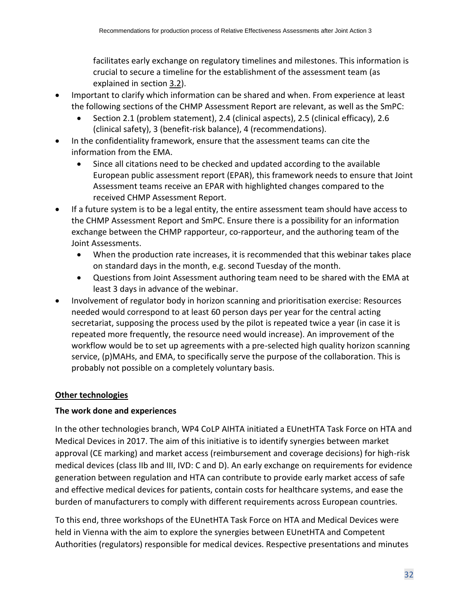facilitates early exchange on regulatory timelines and milestones. This information is crucial to secure a timeline for the establishment of the assessment team (as explained in section [3.2\)](#page-13-0).

- Important to clarify which information can be shared and when. From experience at least the following sections of the CHMP Assessment Report are relevant, as well as the SmPC:
	- Section 2.1 (problem statement), 2.4 (clinical aspects), 2.5 (clinical efficacy), 2.6 (clinical safety), 3 (benefit-risk balance), 4 (recommendations).
- In the confidentiality framework, ensure that the assessment teams can cite the information from the EMA.
	- Since all citations need to be checked and updated according to the available European public assessment report (EPAR), this framework needs to ensure that Joint Assessment teams receive an EPAR with highlighted changes compared to the received CHMP Assessment Report.
- If a future system is to be a legal entity, the entire assessment team should have access to the CHMP Assessment Report and SmPC. Ensure there is a possibility for an information exchange between the CHMP rapporteur, co-rapporteur, and the authoring team of the Joint Assessments.
	- When the production rate increases, it is recommended that this webinar takes place on standard days in the month, e.g. second Tuesday of the month.
	- Questions from Joint Assessment authoring team need to be shared with the EMA at least 3 days in advance of the webinar.
- Involvement of regulator body in horizon scanning and prioritisation exercise: Resources needed would correspond to at least 60 person days per year for the central acting secretariat, supposing the process used by the pilot is repeated twice a year (in case it is repeated more frequently, the resource need would increase). An improvement of the workflow would be to set up agreements with a pre-selected high quality horizon scanning service, (p)MAHs, and EMA, to specifically serve the purpose of the collaboration. This is probably not possible on a completely voluntary basis.

## **Other technologies**

## **The work done and experiences**

In the other technologies branch, WP4 CoLP AIHTA initiated a EUnetHTA Task Force on HTA and Medical Devices in 2017. The aim of this initiative is to identify synergies between market approval (CE marking) and market access (reimbursement and coverage decisions) for high-risk medical devices (class IIb and III, IVD: C and D). An early exchange on requirements for evidence generation between regulation and HTA can contribute to provide early market access of safe and effective medical devices for patients, contain costs for healthcare systems, and ease the burden of manufacturers to comply with different requirements across European countries.

To this end, three workshops of the EUnetHTA Task Force on HTA and Medical Devices were held in Vienna with the aim to explore the synergies between EUnetHTA and Competent Authorities (regulators) responsible for medical devices. Respective presentations and minutes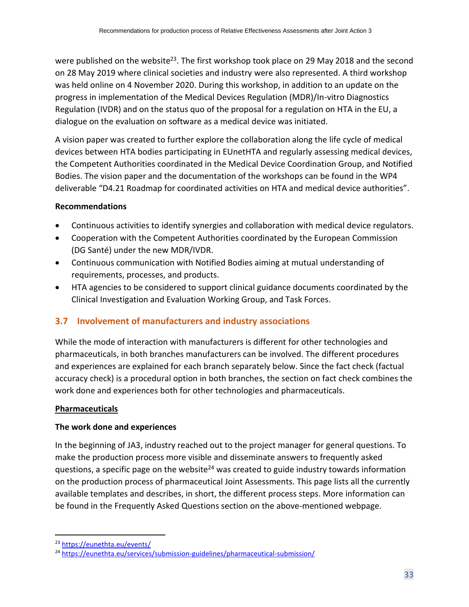were published on the website<sup>23</sup>. The first workshop took place on 29 May 2018 and the second on 28 May 2019 where clinical societies and industry were also represented. A third workshop was held online on 4 November 2020. During this workshop, in addition to an update on the progress in implementation of the Medical Devices Regulation (MDR)/In-vitro Diagnostics Regulation (IVDR) and on the status quo of the proposal for a regulation on HTA in the EU, a dialogue on the evaluation on software as a medical device was initiated.

A vision paper was created to further explore the collaboration along the life cycle of medical devices between HTA bodies participating in EUnetHTA and regularly assessing medical devices, the Competent Authorities coordinated in the Medical Device Coordination Group, and Notified Bodies. The vision paper and the documentation of the workshops can be found in the WP4 deliverable "D4.21 Roadmap for coordinated activities on HTA and medical device authorities".

## **Recommendations**

- Continuous activities to identify synergies and collaboration with medical device regulators.
- Cooperation with the Competent Authorities coordinated by the European Commission (DG Santé) under the new MDR/IVDR.
- Continuous communication with Notified Bodies aiming at mutual understanding of requirements, processes, and products.
- HTA agencies to be considered to support clinical guidance documents coordinated by the Clinical Investigation and Evaluation Working Group, and Task Forces.

## <span id="page-32-0"></span>**3.7 Involvement of manufacturers and industry associations**

While the mode of interaction with manufacturers is different for other technologies and pharmaceuticals, in both branches manufacturers can be involved. The different procedures and experiences are explained for each branch separately below. Since the fact check (factual accuracy check) is a procedural option in both branches, the section on fact check combines the work done and experiences both for other technologies and pharmaceuticals.

## **Pharmaceuticals**

## **The work done and experiences**

In the beginning of JA3, industry reached out to the project manager for general questions. To make the production process more visible and disseminate answers to frequently asked questions, a specific page on the website<sup>24</sup> was created to guide industry towards information on the production process of pharmaceutical Joint Assessments. This page lists all the currently available templates and describes, in short, the different process steps. More information can be found in the Frequently Asked Questions section on the above-mentioned webpage.

<sup>23</sup> <https://eunethta.eu/events/>

<sup>24</sup> <https://eunethta.eu/services/submission-guidelines/pharmaceutical-submission/>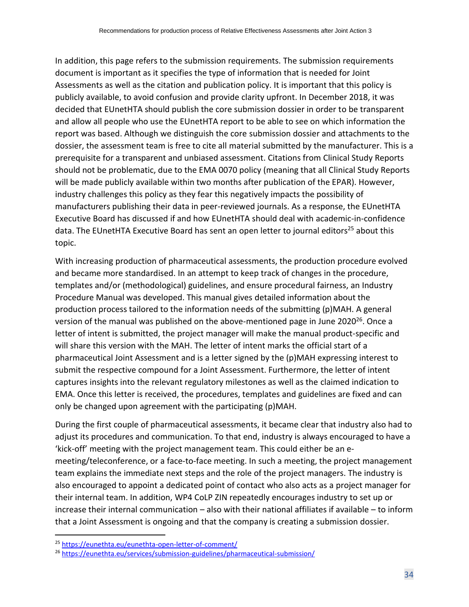In addition, this page refers to the submission requirements. The submission requirements document is important as it specifies the type of information that is needed for Joint Assessments as well as the citation and publication policy. It is important that this policy is publicly available, to avoid confusion and provide clarity upfront. In December 2018, it was decided that EUnetHTA should publish the core submission dossier in order to be transparent and allow all people who use the EUnetHTA report to be able to see on which information the report was based. Although we distinguish the core submission dossier and attachments to the dossier, the assessment team is free to cite all material submitted by the manufacturer. This is a prerequisite for a transparent and unbiased assessment. Citations from Clinical Study Reports should not be problematic, due to the EMA 0070 policy (meaning that all Clinical Study Reports will be made publicly available within two months after publication of the EPAR). However, industry challenges this policy as they fear this negatively impacts the possibility of manufacturers publishing their data in peer-reviewed journals. As a response, the EUnetHTA Executive Board has discussed if and how EUnetHTA should deal with academic-in-confidence data. The EUnetHTA Executive Board has sent an open letter to journal editors<sup>25</sup> about this topic.

With increasing production of pharmaceutical assessments, the production procedure evolved and became more standardised. In an attempt to keep track of changes in the procedure, templates and/or (methodological) guidelines, and ensure procedural fairness, an Industry Procedure Manual was developed. This manual gives detailed information about the production process tailored to the information needs of the submitting (p)MAH. A general version of the manual was published on the above-mentioned page in June 2020<sup>26</sup>. Once a letter of intent is submitted, the project manager will make the manual product-specific and will share this version with the MAH. The letter of intent marks the official start of a pharmaceutical Joint Assessment and is a letter signed by the (p)MAH expressing interest to submit the respective compound for a Joint Assessment. Furthermore, the letter of intent captures insights into the relevant regulatory milestones as well as the claimed indication to EMA. Once this letter is received, the procedures, templates and guidelines are fixed and can only be changed upon agreement with the participating (p)MAH.

During the first couple of pharmaceutical assessments, it became clear that industry also had to adjust its procedures and communication. To that end, industry is always encouraged to have a 'kick-off' meeting with the project management team. This could either be an emeeting/teleconference, or a face-to-face meeting. In such a meeting, the project management team explains the immediate next steps and the role of the project managers. The industry is also encouraged to appoint a dedicated point of contact who also acts as a project manager for their internal team. In addition, WP4 CoLP ZIN repeatedly encourages industry to set up or increase their internal communication – also with their national affiliates if available – to inform that a Joint Assessment is ongoing and that the company is creating a submission dossier.

<sup>25</sup> <https://eunethta.eu/eunethta-open-letter-of-comment/>

<sup>26</sup> <https://eunethta.eu/services/submission-guidelines/pharmaceutical-submission/>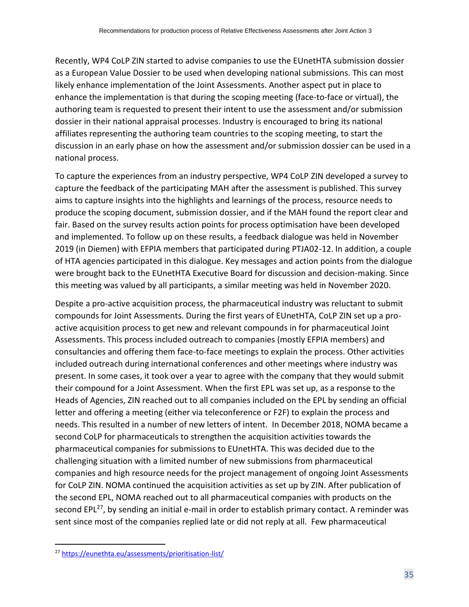Recently, WP4 CoLP ZIN started to advise companies to use the EUnetHTA submission dossier as a European Value Dossier to be used when developing national submissions. This can most likely enhance implementation of the Joint Assessments. Another aspect put in place to enhance the implementation is that during the scoping meeting (face-to-face or virtual), the authoring team is requested to present their intent to use the assessment and/or submission dossier in their national appraisal processes. Industry is encouraged to bring its national affiliates representing the authoring team countries to the scoping meeting, to start the discussion in an early phase on how the assessment and/or submission dossier can be used in a national process.

To capture the experiences from an industry perspective, WP4 CoLP ZIN developed a survey to capture the feedback of the participating MAH after the assessment is published. This survey aims to capture insights into the highlights and learnings of the process, resource needs to produce the scoping document, submission dossier, and if the MAH found the report clear and fair. Based on the survey results action points for process optimisation have been developed and implemented. To follow up on these results, a feedback dialogue was held in November 2019 (in Diemen) with EFPIA members that participated during PTJA02-12. In addition, a couple of HTA agencies participated in this dialogue. Key messages and action points from the dialogue were brought back to the EUnetHTA Executive Board for discussion and decision-making. Since this meeting was valued by all participants, a similar meeting was held in November 2020.

Despite a pro-active acquisition process, the pharmaceutical industry was reluctant to submit compounds for Joint Assessments. During the first years of EUnetHTA, CoLP ZIN set up a proactive acquisition process to get new and relevant compounds in for pharmaceutical Joint Assessments. This process included outreach to companies (mostly EFPIA members) and consultancies and offering them face-to-face meetings to explain the process. Other activities included outreach during international conferences and other meetings where industry was present. In some cases, it took over a year to agree with the company that they would submit their compound for a Joint Assessment. When the first EPL was set up, as a response to the Heads of Agencies, ZIN reached out to all companies included on the EPL by sending an official letter and offering a meeting (either via teleconference or F2F) to explain the process and needs. This resulted in a number of new letters of intent. In December 2018, NOMA became a second CoLP for pharmaceuticals to strengthen the acquisition activities towards the pharmaceutical companies for submissions to EUnetHTA. This was decided due to the challenging situation with a limited number of new submissions from pharmaceutical companies and high resource needs for the project management of ongoing Joint Assessments for CoLP ZIN. NOMA continued the acquisition activities as set up by ZIN. After publication of the second EPL, NOMA reached out to all pharmaceutical companies with products on the second EPL<sup>27</sup>, by sending an initial e-mail in order to establish primary contact. A reminder was sent since most of the companies replied late or did not reply at all. Few pharmaceutical

<sup>27</sup> <https://eunethta.eu/assessments/prioritisation-list/>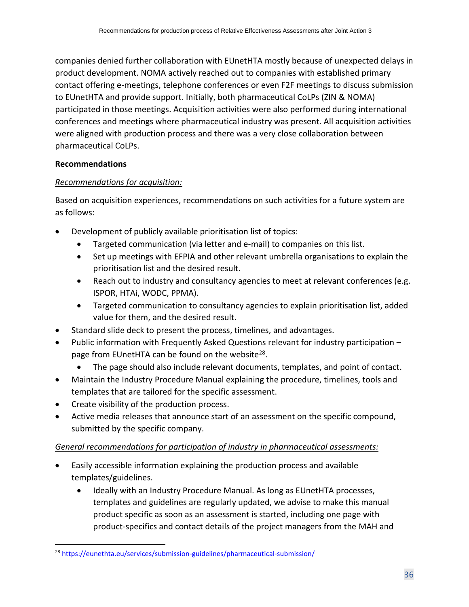companies denied further collaboration with EUnetHTA mostly because of unexpected delays in product development. NOMA actively reached out to companies with established primary contact offering e-meetings, telephone conferences or even F2F meetings to discuss submission to EUnetHTA and provide support. Initially, both pharmaceutical CoLPs (ZIN & NOMA) participated in those meetings. Acquisition activities were also performed during international conferences and meetings where pharmaceutical industry was present. All acquisition activities were aligned with production process and there was a very close collaboration between pharmaceutical CoLPs.

## **Recommendations**

## *Recommendations for acquisition:*

Based on acquisition experiences, recommendations on such activities for a future system are as follows:

- Development of publicly available prioritisation list of topics:
	- Targeted communication (via letter and e-mail) to companies on this list.
	- Set up meetings with EFPIA and other relevant umbrella organisations to explain the prioritisation list and the desired result.
	- Reach out to industry and consultancy agencies to meet at relevant conferences (e.g. ISPOR, HTAi, WODC, PPMA).
	- Targeted communication to consultancy agencies to explain prioritisation list, added value for them, and the desired result.
- Standard slide deck to present the process, timelines, and advantages.
- Public information with Frequently Asked Questions relevant for industry participation page from EUnetHTA can be found on the website<sup>28</sup>.
	- The page should also include relevant documents, templates, and point of contact.
- Maintain the Industry Procedure Manual explaining the procedure, timelines, tools and templates that are tailored for the specific assessment.
- Create visibility of the production process.
- Active media releases that announce start of an assessment on the specific compound, submitted by the specific company.

## *General recommendations for participation of industry in pharmaceutical assessments:*

- Easily accessible information explaining the production process and available templates/guidelines.
	- Ideally with an Industry Procedure Manual. As long as EUnetHTA processes, templates and guidelines are regularly updated, we advise to make this manual product specific as soon as an assessment is started, including one page with product-specifics and contact details of the project managers from the MAH and

<sup>28</sup> <https://eunethta.eu/services/submission-guidelines/pharmaceutical-submission/>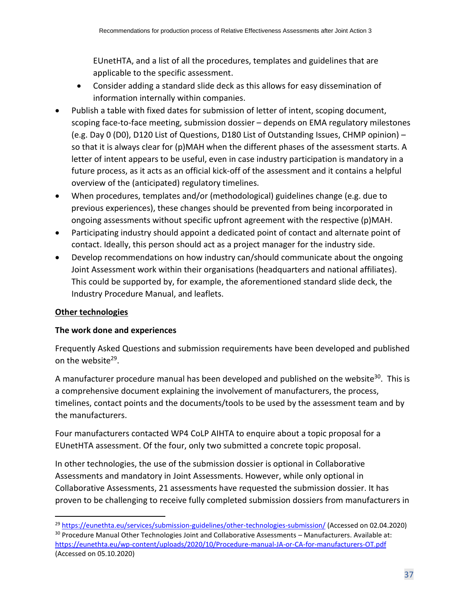EUnetHTA, and a list of all the procedures, templates and guidelines that are applicable to the specific assessment.

- Consider adding a standard slide deck as this allows for easy dissemination of information internally within companies.
- Publish a table with fixed dates for submission of letter of intent, scoping document, scoping face-to-face meeting, submission dossier – depends on EMA regulatory milestones (e.g. Day 0 (D0), D120 List of Questions, D180 List of Outstanding Issues, CHMP opinion) – so that it is always clear for (p)MAH when the different phases of the assessment starts. A letter of intent appears to be useful, even in case industry participation is mandatory in a future process, as it acts as an official kick-off of the assessment and it contains a helpful overview of the (anticipated) regulatory timelines.
- When procedures, templates and/or (methodological) guidelines change (e.g. due to previous experiences), these changes should be prevented from being incorporated in ongoing assessments without specific upfront agreement with the respective (p)MAH.
- Participating industry should appoint a dedicated point of contact and alternate point of contact. Ideally, this person should act as a project manager for the industry side.
- Develop recommendations on how industry can/should communicate about the ongoing Joint Assessment work within their organisations (headquarters and national affiliates). This could be supported by, for example, the aforementioned standard slide deck, the Industry Procedure Manual, and leaflets.

## **Other technologies**

#### **The work done and experiences**

Frequently Asked Questions and submission requirements have been developed and published on the website<sup>29</sup>.

A manufacturer procedure manual has been developed and published on the website<sup>30</sup>. This is a comprehensive document explaining the involvement of manufacturers, the process, timelines, contact points and the documents/tools to be used by the assessment team and by the manufacturers.

Four manufacturers contacted WP4 CoLP AIHTA to enquire about a topic proposal for a EUnetHTA assessment. Of the four, only two submitted a concrete topic proposal.

In other technologies, the use of the submission dossier is optional in Collaborative Assessments and mandatory in Joint Assessments. However, while only optional in Collaborative Assessments, 21 assessments have requested the submission dossier. It has proven to be challenging to receive fully completed submission dossiers from manufacturers in

(Accessed on 05.10.2020)

<sup>&</sup>lt;sup>29</sup> <https://eunethta.eu/services/submission-guidelines/other-technologies-submission/> (Accessed on 02.04.2020) <sup>30</sup> Procedure Manual Other Technologies Joint and Collaborative Assessments - Manufacturers. Available at: <https://eunethta.eu/wp-content/uploads/2020/10/Procedure-manual-JA-or-CA-for-manufacturers-OT.pdf>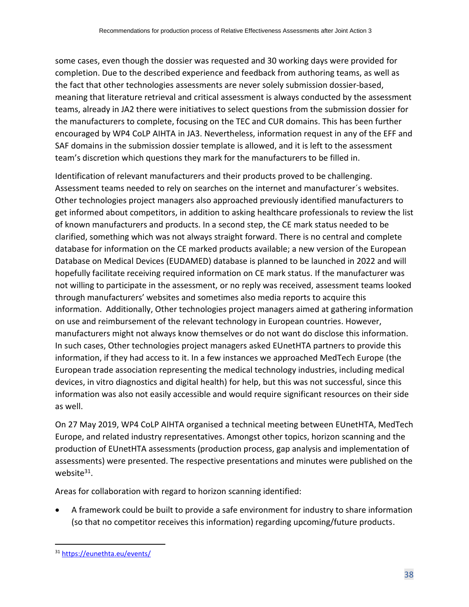some cases, even though the dossier was requested and 30 working days were provided for completion. Due to the described experience and feedback from authoring teams, as well as the fact that other technologies assessments are never solely submission dossier-based, meaning that literature retrieval and critical assessment is always conducted by the assessment teams, already in JA2 there were initiatives to select questions from the submission dossier for the manufacturers to complete, focusing on the TEC and CUR domains. This has been further encouraged by WP4 CoLP AIHTA in JA3. Nevertheless, information request in any of the EFF and SAF domains in the submission dossier template is allowed, and it is left to the assessment team's discretion which questions they mark for the manufacturers to be filled in.

Identification of relevant manufacturers and their products proved to be challenging. Assessment teams needed to rely on searches on the internet and manufacturer´s websites. Other technologies project managers also approached previously identified manufacturers to get informed about competitors, in addition to asking healthcare professionals to review the list of known manufacturers and products. In a second step, the CE mark status needed to be clarified, something which was not always straight forward. There is no central and complete database for information on the CE marked products available; a new version of the European Database on Medical Devices (EUDAMED) database is planned to be launched in 2022 and will hopefully facilitate receiving required information on CE mark status. If the manufacturer was not willing to participate in the assessment, or no reply was received, assessment teams looked through manufacturers' websites and sometimes also media reports to acquire this information. Additionally, Other technologies project managers aimed at gathering information on use and reimbursement of the relevant technology in European countries. However, manufacturers might not always know themselves or do not want do disclose this information. In such cases, Other technologies project managers asked EUnetHTA partners to provide this information, if they had access to it. In a few instances we approached MedTech Europe (the European trade association representing the medical technology industries, including medical devices, in vitro diagnostics and digital health) for help, but this was not successful, since this information was also not easily accessible and would require significant resources on their side as well.

On 27 May 2019, WP4 CoLP AIHTA organised a technical meeting between EUnetHTA, MedTech Europe, and related industry representatives. Amongst other topics, horizon scanning and the production of EUnetHTA assessments (production process, gap analysis and implementation of assessments) were presented. The respective presentations and minutes were published on the website<sup>31</sup>.

Areas for collaboration with regard to horizon scanning identified:

• A framework could be built to provide a safe environment for industry to share information (so that no competitor receives this information) regarding upcoming/future products.

<sup>31</sup> <https://eunethta.eu/events/>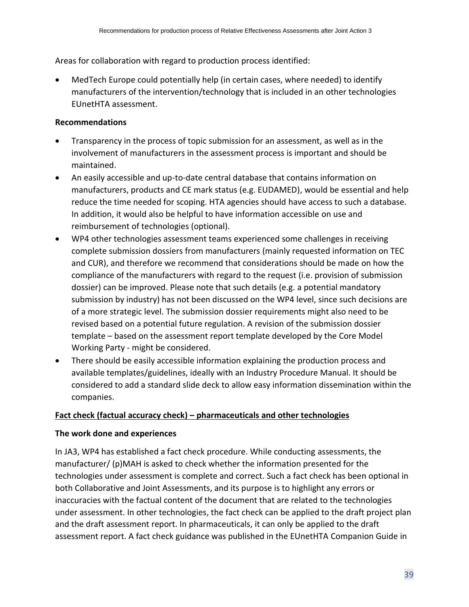Areas for collaboration with regard to production process identified:

• MedTech Europe could potentially help (in certain cases, where needed) to identify manufacturers of the intervention/technology that is included in an other technologies EUnetHTA assessment.

## **Recommendations**

- Transparency in the process of topic submission for an assessment, as well as in the involvement of manufacturers in the assessment process is important and should be maintained.
- An easily accessible and up-to-date central database that contains information on manufacturers, products and CE mark status (e.g. EUDAMED), would be essential and help reduce the time needed for scoping. HTA agencies should have access to such a database. In addition, it would also be helpful to have information accessible on use and reimbursement of technologies (optional).
- WP4 other technologies assessment teams experienced some challenges in receiving complete submission dossiers from manufacturers (mainly requested information on TEC and CUR), and therefore we recommend that considerations should be made on how the compliance of the manufacturers with regard to the request (i.e. provision of submission dossier) can be improved. Please note that such details (e.g. a potential mandatory submission by industry) has not been discussed on the WP4 level, since such decisions are of a more strategic level. The submission dossier requirements might also need to be revised based on a potential future regulation. A revision of the submission dossier template – based on the assessment report template developed by the Core Model Working Party - might be considered.
- There should be easily accessible information explaining the production process and available templates/guidelines, ideally with an Industry Procedure Manual. It should be considered to add a standard slide deck to allow easy information dissemination within the companies.

## **Fact check (factual accuracy check) – pharmaceuticals and other technologies**

## **The work done and experiences**

In JA3, WP4 has established a fact check procedure. While conducting assessments, the manufacturer/ (p)MAH is asked to check whether the information presented for the technologies under assessment is complete and correct. Such a fact check has been optional in both Collaborative and Joint Assessments, and its purpose is to highlight any errors or inaccuracies with the factual content of the document that are related to the technologies under assessment. In other technologies, the fact check can be applied to the draft project plan and the draft assessment report. In pharmaceuticals, it can only be applied to the draft assessment report. A fact check guidance was published in the EUnetHTA Companion Guide in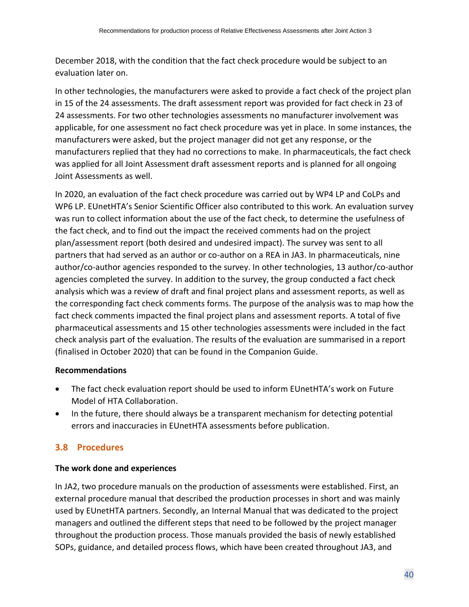December 2018, with the condition that the fact check procedure would be subject to an evaluation later on.

In other technologies, the manufacturers were asked to provide a fact check of the project plan in 15 of the 24 assessments. The draft assessment report was provided for fact check in 23 of 24 assessments. For two other technologies assessments no manufacturer involvement was applicable, for one assessment no fact check procedure was yet in place. In some instances, the manufacturers were asked, but the project manager did not get any response, or the manufacturers replied that they had no corrections to make. In pharmaceuticals, the fact check was applied for all Joint Assessment draft assessment reports and is planned for all ongoing Joint Assessments as well.

In 2020, an evaluation of the fact check procedure was carried out by WP4 LP and CoLPs and WP6 LP. EUnetHTA's Senior Scientific Officer also contributed to this work. An evaluation survey was run to collect information about the use of the fact check, to determine the usefulness of the fact check, and to find out the impact the received comments had on the project plan/assessment report (both desired and undesired impact). The survey was sent to all partners that had served as an author or co-author on a REA in JA3. In pharmaceuticals, nine author/co-author agencies responded to the survey. In other technologies, 13 author/co-author agencies completed the survey. In addition to the survey, the group conducted a fact check analysis which was a review of draft and final project plans and assessment reports, as well as the corresponding fact check comments forms. The purpose of the analysis was to map how the fact check comments impacted the final project plans and assessment reports. A total of five pharmaceutical assessments and 15 other technologies assessments were included in the fact check analysis part of the evaluation. The results of the evaluation are summarised in a report (finalised in October 2020) that can be found in the Companion Guide.

#### **Recommendations**

- The fact check evaluation report should be used to inform EUnetHTA's work on Future Model of HTA Collaboration.
- In the future, there should always be a transparent mechanism for detecting potential errors and inaccuracies in EUnetHTA assessments before publication.

## <span id="page-39-0"></span>**3.8 Procedures**

#### **The work done and experiences**

In JA2, two procedure manuals on the production of assessments were established. First, an external procedure manual that described the production processes in short and was mainly used by EUnetHTA partners. Secondly, an Internal Manual that was dedicated to the project managers and outlined the different steps that need to be followed by the project manager throughout the production process. Those manuals provided the basis of newly established SOPs, guidance, and detailed process flows, which have been created throughout JA3, and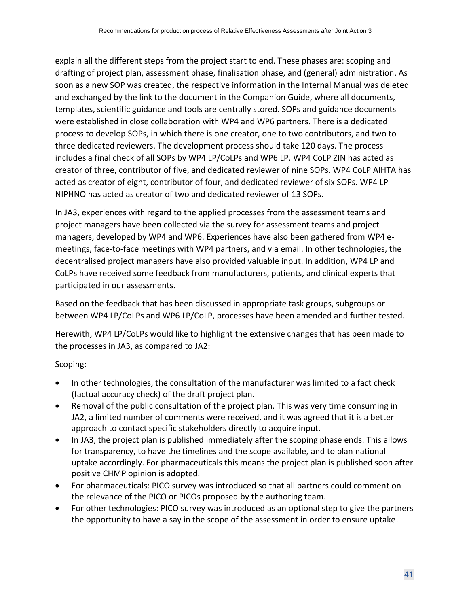explain all the different steps from the project start to end. These phases are: scoping and drafting of project plan, assessment phase, finalisation phase, and (general) administration. As soon as a new SOP was created, the respective information in the Internal Manual was deleted and exchanged by the link to the document in the Companion Guide, where all documents, templates, scientific guidance and tools are centrally stored. SOPs and guidance documents were established in close collaboration with WP4 and WP6 partners. There is a dedicated process to develop SOPs, in which there is one creator, one to two contributors, and two to three dedicated reviewers. The development process should take 120 days. The process includes a final check of all SOPs by WP4 LP/CoLPs and WP6 LP. WP4 CoLP ZIN has acted as creator of three, contributor of five, and dedicated reviewer of nine SOPs. WP4 CoLP AIHTA has acted as creator of eight, contributor of four, and dedicated reviewer of six SOPs. WP4 LP NIPHNO has acted as creator of two and dedicated reviewer of 13 SOPs.

In JA3, experiences with regard to the applied processes from the assessment teams and project managers have been collected via the survey for assessment teams and project managers, developed by WP4 and WP6. Experiences have also been gathered from WP4 emeetings, face-to-face meetings with WP4 partners, and via email. In other technologies, the decentralised project managers have also provided valuable input. In addition, WP4 LP and CoLPs have received some feedback from manufacturers, patients, and clinical experts that participated in our assessments.

Based on the feedback that has been discussed in appropriate task groups, subgroups or between WP4 LP/CoLPs and WP6 LP/CoLP, processes have been amended and further tested.

Herewith, WP4 LP/CoLPs would like to highlight the extensive changes that has been made to the processes in JA3, as compared to JA2:

Scoping:

- In other technologies, the consultation of the manufacturer was limited to a fact check (factual accuracy check) of the draft project plan.
- Removal of the public consultation of the project plan. This was very time consuming in JA2, a limited number of comments were received, and it was agreed that it is a better approach to contact specific stakeholders directly to acquire input.
- In JA3, the project plan is published immediately after the scoping phase ends. This allows for transparency, to have the timelines and the scope available, and to plan national uptake accordingly. For pharmaceuticals this means the project plan is published soon after positive CHMP opinion is adopted.
- For pharmaceuticals: PICO survey was introduced so that all partners could comment on the relevance of the PICO or PICOs proposed by the authoring team.
- For other technologies: PICO survey was introduced as an optional step to give the partners the opportunity to have a say in the scope of the assessment in order to ensure uptake.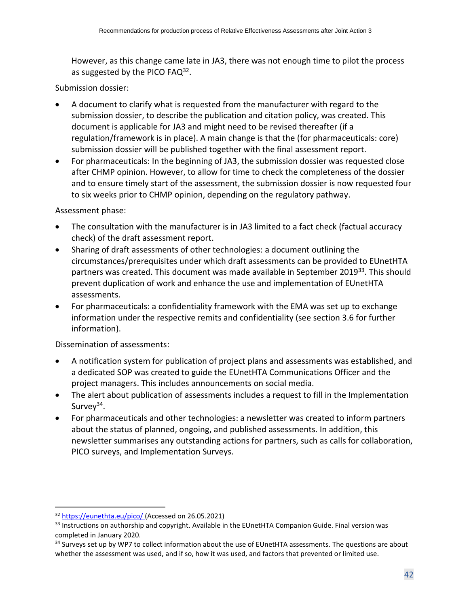However, as this change came late in JA3, there was not enough time to pilot the process as suggested by the PICO FAQ $^{32}$ .

#### Submission dossier:

- A document to clarify what is requested from the manufacturer with regard to the submission dossier, to describe the publication and citation policy, was created. This document is applicable for JA3 and might need to be revised thereafter (if a regulation/framework is in place). A main change is that the (for pharmaceuticals: core) submission dossier will be published together with the final assessment report.
- For pharmaceuticals: In the beginning of JA3, the submission dossier was requested close after CHMP opinion. However, to allow for time to check the completeness of the dossier and to ensure timely start of the assessment, the submission dossier is now requested four to six weeks prior to CHMP opinion, depending on the regulatory pathway.

#### Assessment phase:

- The consultation with the manufacturer is in JA3 limited to a fact check (factual accuracy check) of the draft assessment report.
- Sharing of draft assessments of other technologies: a document outlining the circumstances/prerequisites under which draft assessments can be provided to EUnetHTA partners was created. This document was made available in September 2019<sup>33</sup>. This should prevent duplication of work and enhance the use and implementation of EUnetHTA assessments.
- For pharmaceuticals: a confidentiality framework with the EMA was set up to exchange information under the respective remits and confidentiality (see sectio[n 3.6](#page-29-0) for further information).

#### Dissemination of assessments:

- A notification system for publication of project plans and assessments was established, and a dedicated SOP was created to guide the EUnetHTA Communications Officer and the project managers. This includes announcements on social media.
- The alert about publication of assessments includes a request to fill in the Implementation Survey<sup>34</sup>.
- For pharmaceuticals and other technologies: a newsletter was created to inform partners about the status of planned, ongoing, and published assessments. In addition, this newsletter summarises any outstanding actions for partners, such as calls for collaboration, PICO surveys, and Implementation Surveys.

<sup>32</sup> <https://eunethta.eu/pico/> (Accessed on 26.05.2021)

<sup>&</sup>lt;sup>33</sup> Instructions on authorship and copyright. Available in the EUnetHTA Companion Guide. Final version was completed in January 2020.

<sup>&</sup>lt;sup>34</sup> Surveys set up by WP7 to collect information about the use of EUnetHTA assessments. The questions are about whether the assessment was used, and if so, how it was used, and factors that prevented or limited use.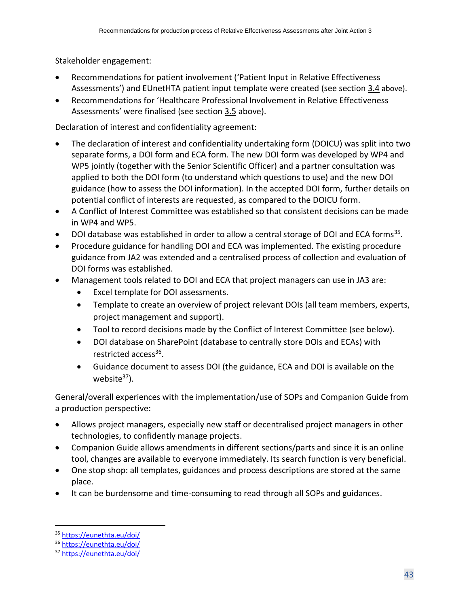Stakeholder engagement:

- Recommendations for patient involvement ('[Patient Input in Relative Effectiveness](https://eunethta.eu/wp-content/uploads/2019/06/Final_290519_Patient-Input-in-REAs.pdf)  [Assessments](https://eunethta.eu/wp-content/uploads/2019/06/Final_290519_Patient-Input-in-REAs.pdf)') and EUnetHTA patient input template were created (see section [3.4](#page-24-0) above).
- Recommendations for 'Healthcare Professional Involvement in Relative Effectiveness Assessments' were finalised (see section [3.5](#page-27-0) above).

Declaration of interest and confidentiality agreement:

- The declaration of interest and confidentiality undertaking form (DOICU) was split into two separate forms, a DOI form and ECA form. The new DOI form was developed by WP4 and WP5 jointly (together with the Senior Scientific Officer) and a partner consultation was applied to both the DOI form (to understand which questions to use) and the new DOI guidance (how to assess the DOI information). In the accepted DOI form, further details on potential conflict of interests are requested, as compared to the DOICU form.
- A Conflict of Interest Committee was established so that consistent decisions can be made in WP4 and WP5.
- DOI database was established in order to allow a central storage of DOI and ECA forms<sup>35</sup>.
- Procedure guidance for handling DOI and ECA was implemented. The existing procedure guidance from JA2 was extended and a centralised process of collection and evaluation of DOI forms was established.
- Management tools related to DOI and ECA that project managers can use in JA3 are:
	- Excel template for DOI assessments.
	- Template to create an overview of project relevant DOIs (all team members, experts, project management and support).
	- Tool to record decisions made by the Conflict of Interest Committee (see below).
	- DOI database on SharePoint (database to centrally store DOIs and ECAs) with restricted access<sup>36</sup>.
	- Guidance document to assess DOI (the guidance, ECA and DOI is available on the website $37$ ).

General/overall experiences with the implementation/use of SOPs and Companion Guide from a production perspective:

- Allows project managers, especially new staff or decentralised project managers in other technologies, to confidently manage projects.
- Companion Guide allows amendments in different sections/parts and since it is an online tool, changes are available to everyone immediately. Its search function is very beneficial.
- One stop shop: all templates, guidances and process descriptions are stored at the same place.
- It can be burdensome and time-consuming to read through all SOPs and guidances.

<sup>35</sup> <https://eunethta.eu/doi/>

<sup>36</sup> <https://eunethta.eu/doi/>

<sup>37</sup> <https://eunethta.eu/doi/>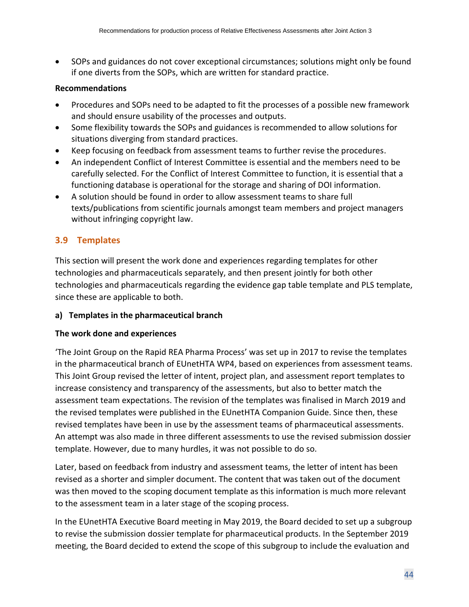• SOPs and guidances do not cover exceptional circumstances; solutions might only be found if one diverts from the SOPs, which are written for standard practice.

#### **Recommendations**

- Procedures and SOPs need to be adapted to fit the processes of a possible new framework and should ensure usability of the processes and outputs.
- Some flexibility towards the SOPs and guidances is recommended to allow solutions for situations diverging from standard practices.
- Keep focusing on feedback from assessment teams to further revise the procedures.
- An independent Conflict of Interest Committee is essential and the members need to be carefully selected. For the Conflict of Interest Committee to function, it is essential that a functioning database is operational for the storage and sharing of DOI information.
- A solution should be found in order to allow assessment teams to share full texts/publications from scientific journals amongst team members and project managers without infringing copyright law.

## <span id="page-43-0"></span>**3.9 Templates**

This section will present the work done and experiences regarding templates for other technologies and pharmaceuticals separately, and then present jointly for both other technologies and pharmaceuticals regarding the evidence gap table template and PLS template, since these are applicable to both.

## **a) Templates in the pharmaceutical branch**

#### **The work done and experiences**

'The Joint Group on the Rapid REA Pharma Process' was set up in 2017 to revise the templates in the pharmaceutical branch of EUnetHTA WP4, based on experiences from assessment teams. This Joint Group revised the letter of intent, project plan, and assessment report templates to increase consistency and transparency of the assessments, but also to better match the assessment team expectations. The revision of the templates was finalised in March 2019 and the revised templates were published in the EUnetHTA Companion Guide. Since then, these revised templates have been in use by the assessment teams of pharmaceutical assessments. An attempt was also made in three different assessments to use the revised submission dossier template. However, due to many hurdles, it was not possible to do so.

Later, based on feedback from industry and assessment teams, the letter of intent has been revised as a shorter and simpler document. The content that was taken out of the document was then moved to the scoping document template as this information is much more relevant to the assessment team in a later stage of the scoping process.

In the EUnetHTA Executive Board meeting in May 2019, the Board decided to set up a subgroup to revise the submission dossier template for pharmaceutical products. In the September 2019 meeting, the Board decided to extend the scope of this subgroup to include the evaluation and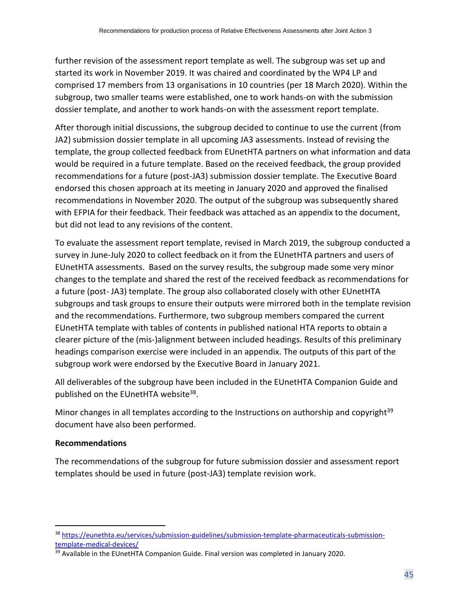further revision of the assessment report template as well. The subgroup was set up and started its work in November 2019. It was chaired and coordinated by the WP4 LP and comprised 17 members from 13 organisations in 10 countries (per 18 March 2020). Within the subgroup, two smaller teams were established, one to work hands-on with the submission dossier template, and another to work hands-on with the assessment report template.

After thorough initial discussions, the subgroup decided to continue to use the current (from JA2) submission dossier template in all upcoming JA3 assessments. Instead of revising the template, the group collected feedback from EUnetHTA partners on what information and data would be required in a future template. Based on the received feedback, the group provided recommendations for a future (post-JA3) submission dossier template. The Executive Board endorsed this chosen approach at its meeting in January 2020 and approved the finalised recommendations in November 2020. The output of the subgroup was subsequently shared with EFPIA for their feedback. Their feedback was attached as an appendix to the document, but did not lead to any revisions of the content.

To evaluate the assessment report template, revised in March 2019, the subgroup conducted a survey in June-July 2020 to collect feedback on it from the EUnetHTA partners and users of EUnetHTA assessments. Based on the survey results, the subgroup made some very minor changes to the template and shared the rest of the received feedback as recommendations for a future (post- JA3) template. The group also collaborated closely with other EUnetHTA subgroups and task groups to ensure their outputs were mirrored both in the template revision and the recommendations. Furthermore, two subgroup members compared the current EUnetHTA template with tables of contents in published national HTA reports to obtain a clearer picture of the (mis-)alignment between included headings. Results of this preliminary headings comparison exercise were included in an appendix. The outputs of this part of the subgroup work were endorsed by the Executive Board in January 2021.

All deliverables of the subgroup have been included in the EUnetHTA Companion Guide and published on the EUnetHTA website<sup>38</sup>.

Minor changes in all templates according to the Instructions on authorship and copyright $39$ document have also been performed.

## **Recommendations**

The recommendations of the subgroup for future submission dossier and assessment report templates should be used in future (post-JA3) template revision work.

<sup>38</sup> [https://eunethta.eu/services/submission-guidelines/submission-template-pharmaceuticals-submission](https://eunethta.eu/services/submission-guidelines/submission-template-pharmaceuticals-submission-template-medical-devices/)[template-medical-devices/](https://eunethta.eu/services/submission-guidelines/submission-template-pharmaceuticals-submission-template-medical-devices/)

<sup>&</sup>lt;sup>39</sup> Available in the EUnetHTA Companion Guide. Final version was completed in January 2020.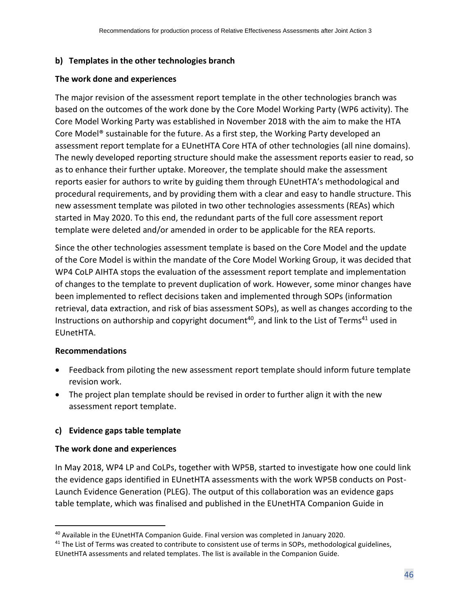#### **b) Templates in the other technologies branch**

#### **The work done and experiences**

The major revision of the assessment report template in the other technologies branch was based on the outcomes of the work done by the Core Model Working Party (WP6 activity). The Core Model Working Party was established in November 2018 with the aim to make the HTA Core Model® sustainable for the future. As a first step, the Working Party developed an assessment report template for a EUnetHTA Core HTA of other technologies (all nine domains). The newly developed reporting structure should make the assessment reports easier to read, so as to enhance their further uptake. Moreover, the template should make the assessment reports easier for authors to write by guiding them through EUnetHTA's methodological and procedural requirements, and by providing them with a clear and easy to handle structure. This new assessment template was piloted in two other technologies assessments (REAs) which started in May 2020. To this end, the redundant parts of the full core assessment report template were deleted and/or amended in order to be applicable for the REA reports.

Since the other technologies assessment template is based on the Core Model and the update of the Core Model is within the mandate of the Core Model Working Group, it was decided that WP4 CoLP AIHTA stops the evaluation of the assessment report template and implementation of changes to the template to prevent duplication of work. However, some minor changes have been implemented to reflect decisions taken and implemented through SOPs (information retrieval, data extraction, and risk of bias assessment SOPs), as well as changes according to the Instructions on authorship and copyright document<sup>40</sup>, and link to the List of Terms<sup>41</sup> used in EUnetHTA.

## **Recommendations**

- Feedback from piloting the new assessment report template should inform future template revision work.
- The project plan template should be revised in order to further align it with the new assessment report template.

## **c) Evidence gaps table template**

#### **The work done and experiences**

In May 2018, WP4 LP and CoLPs, together with WP5B, started to investigate how one could link the evidence gaps identified in EUnetHTA assessments with the work WP5B conducts on Post-Launch Evidence Generation (PLEG). The output of this collaboration was an evidence gaps table template, which was finalised and published in the EUnetHTA Companion Guide in

<sup>40</sup> Available in the EUnetHTA Companion Guide. Final version was completed in January 2020.

 $41$  The List of Terms was created to contribute to consistent use of terms in SOPs, methodological guidelines, EUnetHTA assessments and related templates. The list is available in the Companion Guide.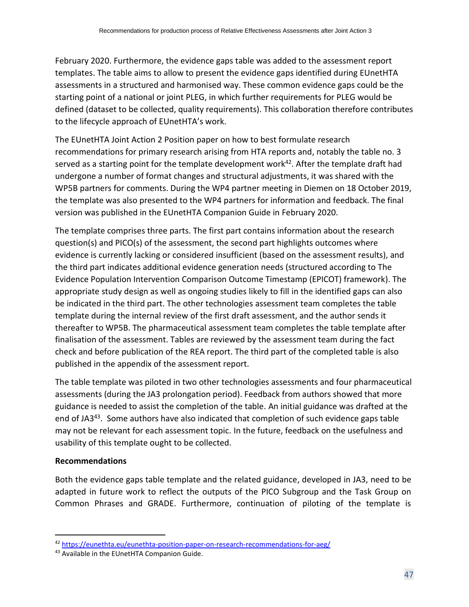February 2020. Furthermore, the evidence gaps table was added to the assessment report templates. The table aims to allow to present the evidence gaps identified during EUnetHTA assessments in a structured and harmonised way. These common evidence gaps could be the starting point of a national or joint PLEG, in which further requirements for PLEG would be defined (dataset to be collected, quality requirements). This collaboration therefore contributes to the lifecycle approach of EUnetHTA's work.

The EUnetHTA Joint Action 2 Position paper on how to best formulate research recommendations for primary research arising from HTA reports and, notably the table no. 3 served as a starting point for the template development work<sup>42</sup>. After the template draft had undergone a number of format changes and structural adjustments, it was shared with the WP5B partners for comments. During the WP4 partner meeting in Diemen on 18 October 2019, the template was also presented to the WP4 partners for information and feedback. The final version was published in the EUnetHTA Companion Guide in February 2020.

The template comprises three parts. The first part contains information about the research question(s) and PICO(s) of the assessment, the second part highlights outcomes where evidence is currently lacking or considered insufficient (based on the assessment results), and the third part indicates additional evidence generation needs (structured according to The Evidence Population Intervention Comparison Outcome Timestamp (EPICOT) framework). The appropriate study design as well as ongoing studies likely to fill in the identified gaps can also be indicated in the third part. The other technologies assessment team completes the table template during the internal review of the first draft assessment, and the author sends it thereafter to WP5B. The pharmaceutical assessment team completes the table template after finalisation of the assessment. Tables are reviewed by the assessment team during the fact check and before publication of the REA report. The third part of the completed table is also published in the appendix of the assessment report.

The table template was piloted in two other technologies assessments and four pharmaceutical assessments (during the JA3 prolongation period). Feedback from authors showed that more guidance is needed to assist the completion of the table. An initial guidance was drafted at the end of JA3<sup>43</sup>. Some authors have also indicated that completion of such evidence gaps table may not be relevant for each assessment topic. In the future, feedback on the usefulness and usability of this template ought to be collected.

## **Recommendations**

Both the evidence gaps table template and the related guidance, developed in JA3, need to be adapted in future work to reflect the outputs of the PICO Subgroup and the Task Group on Common Phrases and GRADE. Furthermore, continuation of piloting of the template is

<sup>42</sup> <https://eunethta.eu/eunethta-position-paper-on-research-recommendations-for-aeg/>

<sup>43</sup> Available in the EUnetHTA Companion Guide.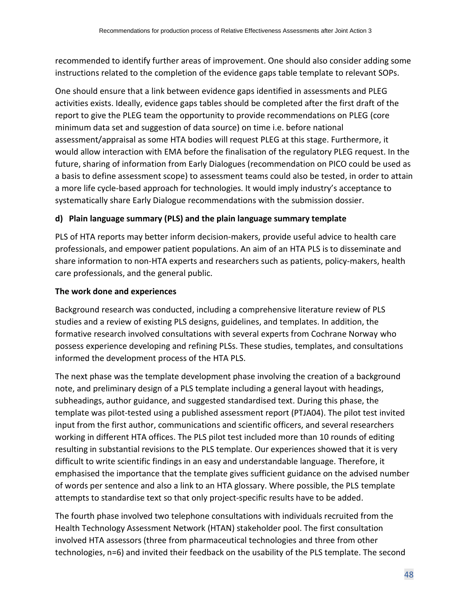recommended to identify further areas of improvement. One should also consider adding some instructions related to the completion of the evidence gaps table template to relevant SOPs.

One should ensure that a link between evidence gaps identified in assessments and PLEG activities exists. Ideally, evidence gaps tables should be completed after the first draft of the report to give the PLEG team the opportunity to provide recommendations on PLEG (core minimum data set and suggestion of data source) on time i.e. before national assessment/appraisal as some HTA bodies will request PLEG at this stage. Furthermore, it would allow interaction with EMA before the finalisation of the regulatory PLEG request. In the future, sharing of information from Early Dialogues (recommendation on PICO could be used as a basis to define assessment scope) to assessment teams could also be tested, in order to attain a more life cycle-based approach for technologies. It would imply industry's acceptance to systematically share Early Dialogue recommendations with the submission dossier.

## **d) Plain language summary (PLS) and the plain language summary template**

PLS of HTA reports may better inform decision-makers, provide useful advice to health care professionals, and empower patient populations. An aim of an HTA PLS is to disseminate and share information to non-HTA experts and researchers such as patients, policy-makers, health care professionals, and the general public.

## **The work done and experiences**

Background research was conducted, including a comprehensive literature review of PLS studies and a review of existing PLS designs, guidelines, and templates. In addition, the formative research involved consultations with several experts from Cochrane Norway who possess experience developing and refining PLSs. These studies, templates, and consultations informed the development process of the HTA PLS.

The next phase was the template development phase involving the creation of a background note, and preliminary design of a PLS template including a general layout with headings, subheadings, author guidance, and suggested standardised text. During this phase, the template was pilot-tested using a published assessment report (PTJA04). The pilot test invited input from the first author, communications and scientific officers, and several researchers working in different HTA offices. The PLS pilot test included more than 10 rounds of editing resulting in substantial revisions to the PLS template. Our experiences showed that it is very difficult to write scientific findings in an easy and understandable language. Therefore, it emphasised the importance that the template gives sufficient guidance on the advised number of words per sentence and also a link to an HTA glossary. Where possible, the PLS template attempts to standardise text so that only project-specific results have to be added.

The fourth phase involved two telephone consultations with individuals recruited from the Health Technology Assessment Network (HTAN) stakeholder pool. The first consultation involved HTA assessors (three from pharmaceutical technologies and three from other technologies, n=6) and invited their feedback on the usability of the PLS template. The second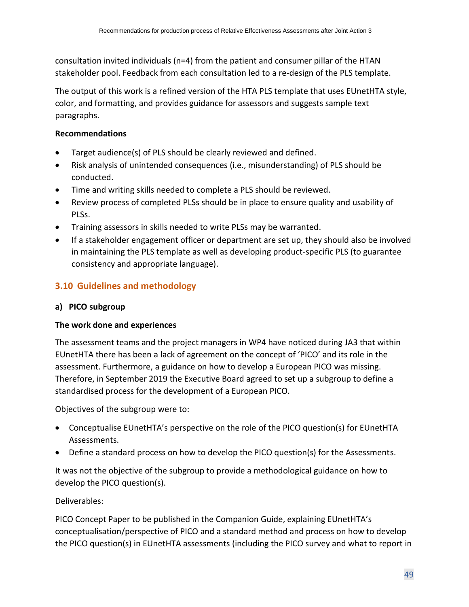consultation invited individuals (n=4) from the patient and consumer pillar of the HTAN stakeholder pool. Feedback from each consultation led to a re-design of the PLS template.

The output of this work is a refined version of the HTA PLS template that uses EUnetHTA style, color, and formatting, and provides guidance for assessors and suggests sample text paragraphs.

## **Recommendations**

- Target audience(s) of PLS should be clearly reviewed and defined.
- Risk analysis of unintended consequences (i.e., misunderstanding) of PLS should be conducted.
- Time and writing skills needed to complete a PLS should be reviewed.
- Review process of completed PLSs should be in place to ensure quality and usability of PLSs.
- Training assessors in skills needed to write PLSs may be warranted.
- If a stakeholder engagement officer or department are set up, they should also be involved in maintaining the PLS template as well as developing product-specific PLS (to guarantee consistency and appropriate language).

## <span id="page-48-0"></span>**3.10 Guidelines and methodology**

## **a) PICO subgroup**

## **The work done and experiences**

The assessment teams and the project managers in WP4 have noticed during JA3 that within EUnetHTA there has been a lack of agreement on the concept of 'PICO' and its role in the assessment. Furthermore, a guidance on how to develop a European PICO was missing. Therefore, in September 2019 the Executive Board agreed to set up a subgroup to define a standardised process for the development of a European PICO.

Objectives of the subgroup were to:

- Conceptualise EUnetHTA's perspective on the role of the PICO question(s) for EUnetHTA Assessments.
- Define a standard process on how to develop the PICO question(s) for the Assessments.

It was not the objective of the subgroup to provide a methodological guidance on how to develop the PICO question(s).

## Deliverables:

PICO Concept Paper to be published in the Companion Guide, explaining EUnetHTA's conceptualisation/perspective of PICO and a standard method and process on how to develop the PICO question(s) in EUnetHTA assessments (including the PICO survey and what to report in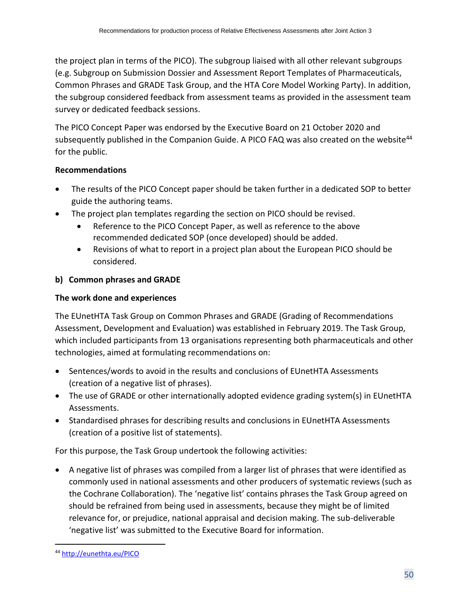the project plan in terms of the PICO). The subgroup liaised with all other relevant subgroups (e.g. Subgroup on Submission Dossier and Assessment Report Templates of Pharmaceuticals, Common Phrases and GRADE Task Group, and the HTA Core Model Working Party). In addition, the subgroup considered feedback from assessment teams as provided in the assessment team survey or dedicated feedback sessions.

The PICO Concept Paper was endorsed by the Executive Board on 21 October 2020 and subsequently published in the Companion Guide. A PICO FAQ was also created on the website<sup>44</sup> for the public.

## **Recommendations**

- The results of the PICO Concept paper should be taken further in a dedicated SOP to better guide the authoring teams.
- The project plan templates regarding the section on PICO should be revised.
	- Reference to the PICO Concept Paper, as well as reference to the above recommended dedicated SOP (once developed) should be added.
	- Revisions of what to report in a project plan about the European PICO should be considered.

## **b) Common phrases and GRADE**

## **The work done and experiences**

The EUnetHTA Task Group on Common Phrases and GRADE (Grading of Recommendations Assessment, Development and Evaluation) was established in February 2019. The Task Group, which included participants from 13 organisations representing both pharmaceuticals and other technologies, aimed at formulating recommendations on:

- Sentences/words to avoid in the results and conclusions of EUnetHTA Assessments (creation of a negative list of phrases).
- The use of GRADE or other internationally adopted evidence grading system(s) in EUnetHTA Assessments.
- Standardised phrases for describing results and conclusions in EUnetHTA Assessments (creation of a positive list of statements).

For this purpose, the Task Group undertook the following activities:

• A negative list of phrases was compiled from a larger list of phrases that were identified as commonly used in national assessments and other producers of systematic reviews (such as the Cochrane Collaboration). The 'negative list' contains phrases the Task Group agreed on should be refrained from being used in assessments, because they might be of limited relevance for, or prejudice, national appraisal and decision making. The sub-deliverable 'negative list' was submitted to the Executive Board for information.

<sup>44</sup> <http://eunethta.eu/PICO>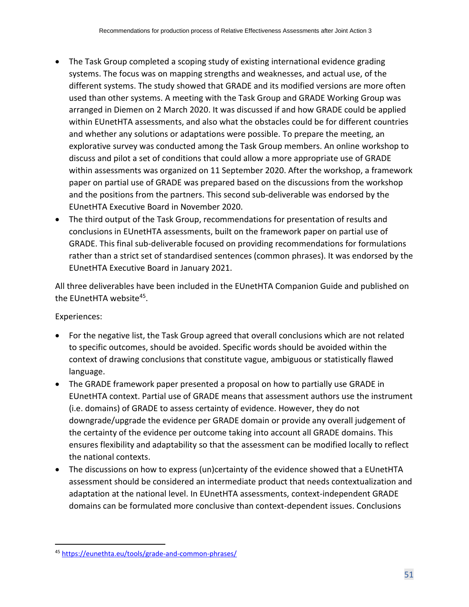- The Task Group completed a scoping study of existing international evidence grading systems. The focus was on mapping strengths and weaknesses, and actual use, of the different systems. The study showed that GRADE and its modified versions are more often used than other systems. A meeting with the Task Group and GRADE Working Group was arranged in Diemen on 2 March 2020. It was discussed if and how GRADE could be applied within EUnetHTA assessments, and also what the obstacles could be for different countries and whether any solutions or adaptations were possible. To prepare the meeting, an explorative survey was conducted among the Task Group members. An online workshop to discuss and pilot a set of conditions that could allow a more appropriate use of GRADE within assessments was organized on 11 September 2020. After the workshop, a framework paper on partial use of GRADE was prepared based on the discussions from the workshop and the positions from the partners. This second sub-deliverable was endorsed by the EUnetHTA Executive Board in November 2020.
- The third output of the Task Group, recommendations for presentation of results and conclusions in EUnetHTA assessments, built on the framework paper on partial use of GRADE. This final sub-deliverable focused on providing recommendations for formulations rather than a strict set of standardised sentences (common phrases). It was endorsed by the EUnetHTA Executive Board in January 2021.

All three deliverables have been included in the EUnetHTA Companion Guide and published on the EUnetHTA website<sup>45</sup>.

## Experiences:

- For the negative list, the Task Group agreed that overall conclusions which are not related to specific outcomes, should be avoided. Specific words should be avoided within the context of drawing conclusions that constitute vague, ambiguous or statistically flawed language.
- The GRADE framework paper presented a proposal on how to partially use GRADE in EUnetHTA context. Partial use of GRADE means that assessment authors use the instrument (i.e. domains) of GRADE to assess certainty of evidence. However, they do not downgrade/upgrade the evidence per GRADE domain or provide any overall judgement of the certainty of the evidence per outcome taking into account all GRADE domains. This ensures flexibility and adaptability so that the assessment can be modified locally to reflect the national contexts.
- The discussions on how to express (un)certainty of the evidence showed that a EUnetHTA assessment should be considered an intermediate product that needs contextualization and adaptation at the national level. In EUnetHTA assessments, context-independent GRADE domains can be formulated more conclusive than context-dependent issues. Conclusions

<sup>45</sup> <https://eunethta.eu/tools/grade-and-common-phrases/>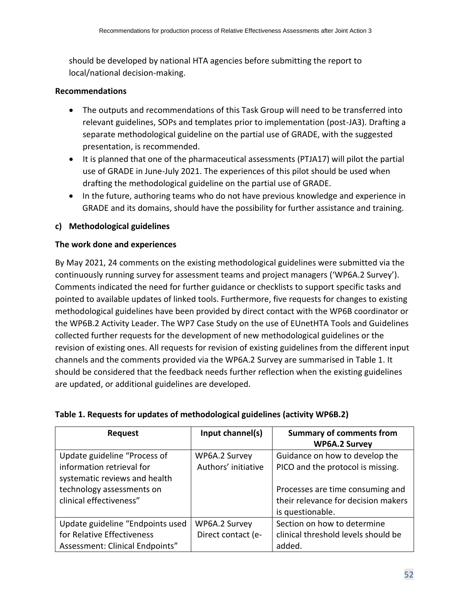should be developed by national HTA agencies before submitting the report to local/national decision-making.

## **Recommendations**

- The outputs and recommendations of this Task Group will need to be transferred into relevant guidelines, SOPs and templates prior to implementation (post-JA3). Drafting a separate methodological guideline on the partial use of GRADE, with the suggested presentation, is recommended.
- It is planned that one of the pharmaceutical assessments (PTJA17) will pilot the partial use of GRADE in June-July 2021. The experiences of this pilot should be used when drafting the methodological guideline on the partial use of GRADE.
- In the future, authoring teams who do not have previous knowledge and experience in GRADE and its domains, should have the possibility for further assistance and training.

## **c) Methodological guidelines**

## **The work done and experiences**

By May 2021, 24 comments on the existing methodological guidelines were submitted via the continuously running survey for assessment teams and project managers ('WP6A.2 Survey'). Comments indicated the need for further guidance or checklists to support specific tasks and pointed to available updates of linked tools. Furthermore, five requests for changes to existing methodological guidelines have been provided by direct contact with the WP6B coordinator or the WP6B.2 Activity Leader. The WP7 Case Study on the use of EUnetHTA Tools and Guidelines collected further requests for the development of new methodological guidelines or the revision of existing ones. All requests for revision of existing guidelines from the different input channels and the comments provided via the WP6A.2 Survey are summarised in Table 1. It should be considered that the feedback needs further reflection when the existing guidelines are updated, or additional guidelines are developed.

| <b>Request</b>                   | Input channel(s)    | <b>Summary of comments from</b>     |
|----------------------------------|---------------------|-------------------------------------|
|                                  |                     | <b>WP6A.2 Survey</b>                |
| Update guideline "Process of     | WP6A.2 Survey       | Guidance on how to develop the      |
| information retrieval for        | Authors' initiative | PICO and the protocol is missing.   |
| systematic reviews and health    |                     |                                     |
| technology assessments on        |                     | Processes are time consuming and    |
| clinical effectiveness"          |                     | their relevance for decision makers |
|                                  |                     | is questionable.                    |
| Update guideline "Endpoints used | WP6A.2 Survey       | Section on how to determine         |
| for Relative Effectiveness       | Direct contact (e-  | clinical threshold levels should be |
| Assessment: Clinical Endpoints"  |                     | added.                              |

## **Table 1. Requests for updates of methodological guidelines (activity WP6B.2)**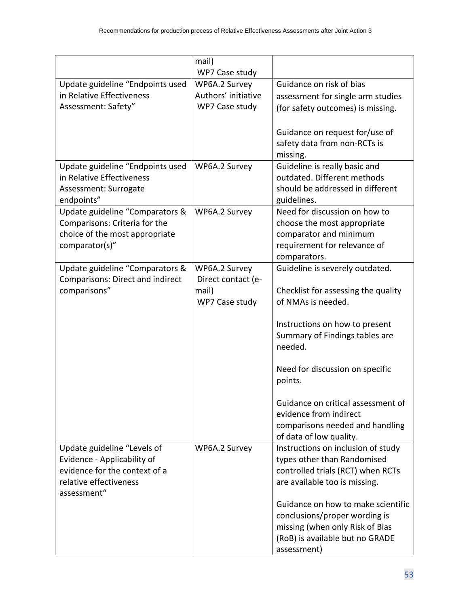|                                  | mail)                           |                                                           |
|----------------------------------|---------------------------------|-----------------------------------------------------------|
| Update guideline "Endpoints used | WP7 Case study<br>WP6A.2 Survey | Guidance on risk of bias                                  |
| in Relative Effectiveness        | Authors' initiative             |                                                           |
| Assessment: Safety"              | WP7 Case study                  | assessment for single arm studies                         |
|                                  |                                 | (for safety outcomes) is missing.                         |
|                                  |                                 |                                                           |
|                                  |                                 | Guidance on request for/use of                            |
|                                  |                                 | safety data from non-RCTs is                              |
|                                  |                                 | missing.                                                  |
| Update guideline "Endpoints used | WP6A.2 Survey                   | Guideline is really basic and                             |
| in Relative Effectiveness        |                                 | outdated. Different methods                               |
| Assessment: Surrogate            |                                 | should be addressed in different                          |
| endpoints"                       |                                 | guidelines.                                               |
| Update guideline "Comparators &  | WP6A.2 Survey                   | Need for discussion on how to                             |
| Comparisons: Criteria for the    |                                 | choose the most appropriate                               |
| choice of the most appropriate   |                                 | comparator and minimum                                    |
| comparator(s)"                   |                                 | requirement for relevance of                              |
|                                  |                                 | comparators.                                              |
| Update guideline "Comparators &  | WP6A.2 Survey                   | Guideline is severely outdated.                           |
| Comparisons: Direct and indirect | Direct contact (e-              |                                                           |
| comparisons"                     | mail)<br>WP7 Case study         | Checklist for assessing the quality<br>of NMAs is needed. |
|                                  |                                 |                                                           |
|                                  |                                 | Instructions on how to present                            |
|                                  |                                 | Summary of Findings tables are                            |
|                                  |                                 | needed.                                                   |
|                                  |                                 |                                                           |
|                                  |                                 | Need for discussion on specific                           |
|                                  |                                 | points.                                                   |
|                                  |                                 |                                                           |
|                                  |                                 | Guidance on critical assessment of                        |
|                                  |                                 | evidence from indirect                                    |
|                                  |                                 | comparisons needed and handling                           |
|                                  |                                 | of data of low quality.                                   |
| Update guideline "Levels of      | WP6A.2 Survey                   | Instructions on inclusion of study                        |
| Evidence - Applicability of      |                                 | types other than Randomised                               |
| evidence for the context of a    |                                 | controlled trials (RCT) when RCTs                         |
| relative effectiveness           |                                 | are available too is missing.                             |
| assessment"                      |                                 |                                                           |
|                                  |                                 | Guidance on how to make scientific                        |
|                                  |                                 | conclusions/proper wording is                             |
|                                  |                                 | missing (when only Risk of Bias                           |
|                                  |                                 | (RoB) is available but no GRADE                           |
|                                  |                                 | assessment)                                               |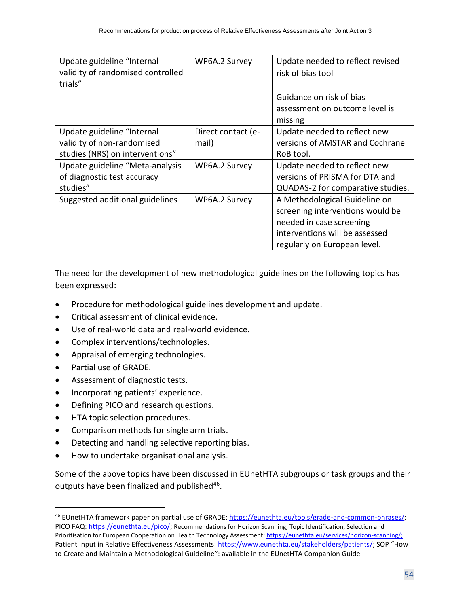| Update guideline "Internal<br>validity of randomised controlled<br>trials" | WP6A.2 Survey      | Update needed to reflect revised<br>risk of bias tool |
|----------------------------------------------------------------------------|--------------------|-------------------------------------------------------|
|                                                                            |                    | Guidance on risk of bias                              |
|                                                                            |                    | assessment on outcome level is                        |
|                                                                            |                    | missing                                               |
| Update guideline "Internal                                                 | Direct contact (e- | Update needed to reflect new                          |
| validity of non-randomised                                                 | mail)              | versions of AMSTAR and Cochrane                       |
| studies (NRS) on interventions"                                            |                    | RoB tool.                                             |
| Update guideline "Meta-analysis                                            | WP6A.2 Survey      | Update needed to reflect new                          |
| of diagnostic test accuracy                                                |                    | versions of PRISMA for DTA and                        |
| studies"                                                                   |                    | QUADAS-2 for comparative studies.                     |
| Suggested additional guidelines                                            | WP6A.2 Survey      | A Methodological Guideline on                         |
|                                                                            |                    | screening interventions would be                      |
|                                                                            |                    | needed in case screening                              |
|                                                                            |                    | interventions will be assessed                        |
|                                                                            |                    | regularly on European level.                          |

The need for the development of new methodological guidelines on the following topics has been expressed:

- Procedure for methodological guidelines development and update.
- Critical assessment of clinical evidence.
- Use of real-world data and real-world evidence.
- Complex interventions/technologies.
- Appraisal of emerging technologies.
- Partial use of GRADE.
- Assessment of diagnostic tests.
- Incorporating patients' experience.
- Defining PICO and research questions.
- HTA topic selection procedures.
- Comparison methods for single arm trials.
- Detecting and handling selective reporting bias.
- How to undertake organisational analysis.

Some of the above topics have been discussed in EUnetHTA subgroups or task groups and their outputs have been finalized and published<sup>46</sup>.

<sup>46</sup> EUnetHTA framework paper on partial use of GRADE[: https://eunethta.eu/tools/grade-and-common-phrases/;](https://eunethta.eu/tools/grade-and-common-phrases/) PICO FAQ: [https://eunethta.eu/pico/;](https://eunethta.eu/pico/) Recommendations for Horizon Scanning, Topic Identification, Selection and Prioritisation for European Cooperation on Health Technology Assessment: https://eunethta.eu/services/horizon-scanning/; Patient Input in Relative Effectiveness Assessments[: https://www.eunethta.eu/stakeholders/patients/](https://www.eunethta.eu/stakeholders/patients/); SOP "How to Create and Maintain a Methodological Guideline": available in the EUnetHTA Companion Guide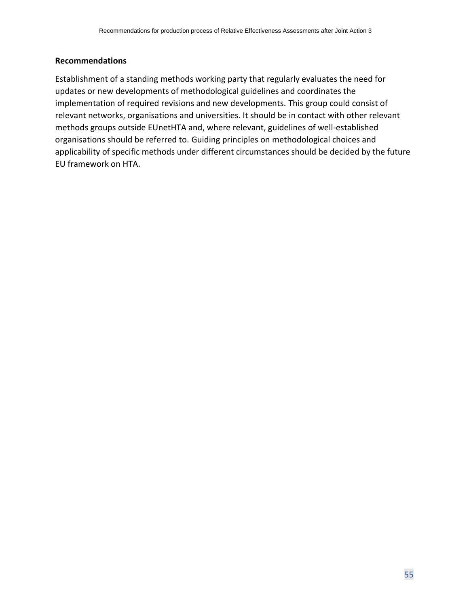#### **Recommendations**

Establishment of a standing methods working party that regularly evaluates the need for updates or new developments of methodological guidelines and coordinates the implementation of required revisions and new developments. This group could consist of relevant networks, organisations and universities. It should be in contact with other relevant methods groups outside EUnetHTA and, where relevant, guidelines of well-established organisations should be referred to. Guiding principles on methodological choices and applicability of specific methods under different circumstances should be decided by the future EU framework on HTA.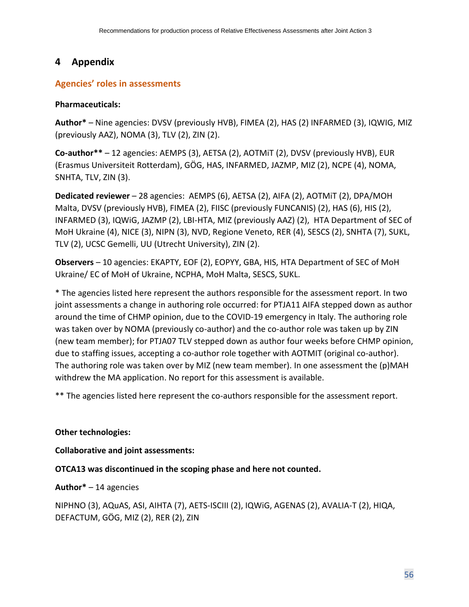## <span id="page-55-0"></span>**4 Appendix**

## <span id="page-55-1"></span>**Agencies' roles in assessments**

#### **Pharmaceuticals:**

**Author\*** – Nine agencies: DVSV (previously HVB), FIMEA (2), HAS (2) INFARMED (3), IQWIG, MIZ (previously AAZ), NOMA (3), TLV (2), ZIN (2).

**Co-author\*\*** – 12 agencies: AEMPS (3), AETSA (2), AOTMiT (2), DVSV (previously HVB), EUR (Erasmus Universiteit Rotterdam), GÖG, HAS, INFARMED, JAZMP, MIZ (2), NCPE (4), NOMA, SNHTA, TLV, ZIN (3).

**Dedicated reviewer** – 28 agencies: AEMPS (6), AETSA (2), AIFA (2), AOTMiT (2), DPA/MOH Malta, DVSV (previously HVB), FIMEA (2), FIISC (previously FUNCANIS) (2), HAS (6), HIS (2), INFARMED (3), IQWiG, JAZMP (2), LBI-HTA, MIZ (previously AAZ) (2), HTA Department of SEC of MoH Ukraine (4), NICE (3), NIPN (3), NVD, Regione Veneto, RER (4), SESCS (2), SNHTA (7), SUKL, TLV (2), UCSC Gemelli, UU (Utrecht University), ZIN (2).

**Observers** – 10 agencies: EKAPTY, EOF (2), EOPYY, GBA, HIS, HTA Department of SEC of MoH Ukraine/ EC of MoH of Ukraine, NCPHA, MoH Malta, SESCS, SUKL.

\* The agencies listed here represent the authors responsible for the assessment report. In two joint assessments a change in authoring role occurred: for PTJA11 AIFA stepped down as author around the time of CHMP opinion, due to the COVID-19 emergency in Italy. The authoring role was taken over by NOMA (previously co-author) and the co-author role was taken up by ZIN (new team member); for PTJA07 TLV stepped down as author four weeks before CHMP opinion, due to staffing issues, accepting a co-author role together with AOTMIT (original co-author). The authoring role was taken over by MIZ (new team member). In one assessment the (p)MAH withdrew the MA application. No report for this assessment is available.

\*\* The agencies listed here represent the co-authors responsible for the assessment report.

#### **Other technologies:**

**Collaborative and joint assessments:**

**OTCA13 was discontinued in the scoping phase and here not counted.** 

**Author\*** – 14 agencies

NIPHNO (3), AQuAS, ASI, AIHTA (7), AETS-ISCIII (2), IQWiG, AGENAS (2), AVALIA-T (2), HIQA, DEFACTUM, GÖG, MIZ (2), RER (2), ZIN